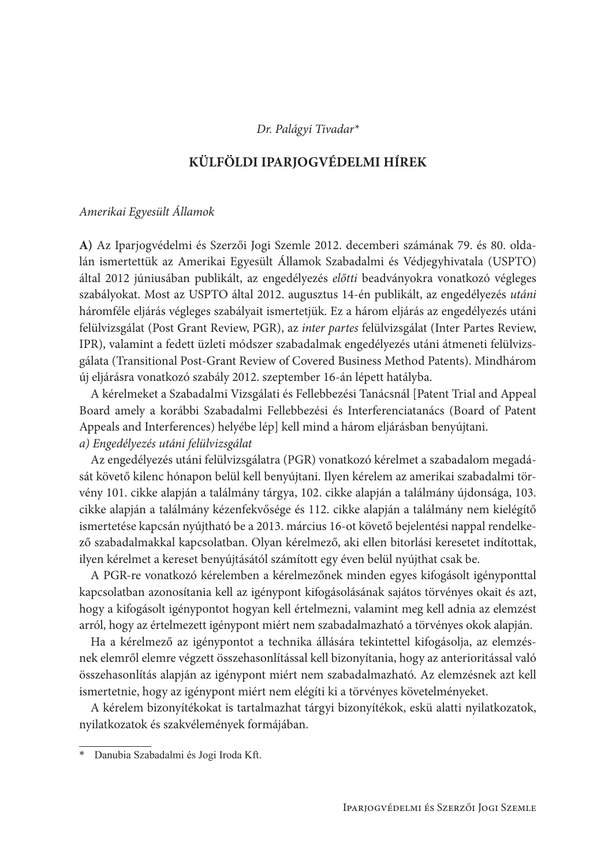# Dr. Palágyi Tivadar\*

# KÜLFÖLDI IPARJOGVÉDELMI HÍREK

### Amerikai Egyesült Államok

A) Az Iparjogvédelmi és Szerzői Jogi Szemle 2012. decemberi számának 79. és 80. oldalán ismertettük az Amerikai Egyesült Államok Szabadalmi és Védjegyhivatala (USPTO) által 2012 júniusában publikált, az engedélyezés előtti beadványokra vonatkozó végleges szabályokat. Most az USPTO által 2012. augusztus 14-én publikált, az engedélyezés utáni háromféle eljárás végleges szabályait ismertetjük. Ez a három eljárás az engedélyezés utáni felülvizsgálat (Post Grant Review, PGR), az inter partes felülvizsgálat (Inter Partes Review, IPR), valamint a fedett üzleti módszer szabadalmak engedélyezés utáni átmeneti felülvizsgálata (Transitional Post-Grant Review of Covered Business Method Patents). Mindhárom új eljárásra vonatkozó szabály 2012. szeptember 16-án lépett hatályba.

A kérelmeket a Szabadalmi Vizsgálati és Fellebbezési Tanácsnál [Patent Trial and Appeal Board amely a korábbi Szabadalmi Fellebbezési és Interferenciatanács (Board of Patent Appeals and Interferences) helyébe lép] kell mind a három eljárásban benyújtani. a) Engedélyezés utáni felülvizsgálat

Az engedélyezés utáni felülvizsgálatra (PGR) vonatkozó kérelmet a szabadalom megadását követő kilenc hónapon belül kell benyújtani. Ilyen kérelem az amerikai szabadalmi törvény 101. cikke alapján a találmány tárgya, 102. cikke alapján a találmány újdonsága, 103. cikke alapján a találmány kézenfekvősége és 112. cikke alapján a találmány nem kielégítő ismertetése kapcsán nyújtható be a 2013. március 16-ot követő bejelentési nappal rendelkező szabadalmakkal kapcsolatban. Olyan kérelmező, aki ellen bitorlási keresetet indítottak, ilyen kérelmet a kereset benyújtásától számított egy éven belül nyújthat csak be.

A PGR-re vonatkozó kérelemben a kérelmezőnek minden egyes kifogásolt igényponttal kapcsolatban azonosítania kell az igénypont kifogásolásának sajátos törvényes okait és azt, hogy a kifogásolt igénypontot hogyan kell értelmezni, valamint meg kell adnia az elemzést arról, hogy az értelmezett igénypont miért nem szabadalmazható a törvényes okok alapján.

Ha a kérelmező az igénypontot a technika állására tekintettel kifogásolja, az elemzésnek elemről elemre végzett összehasonlítással kell bizonyítania, hogy az anterioritással való összehasonlítás alapján az igénypont miért nem szabadalmazható. Az elemzésnek azt kell ismertetnie, hogy az igénypont miért nem elégíti ki a törvényes követelményeket.

A kérelem bizonyítékokat is tartalmazhat tárgyi bizonyítékok, eskü alatti nyilatkozatok, nyilatkozatok és szakvélemények formájában.

Danubia Szabadalmi és Jogi Iroda Kft.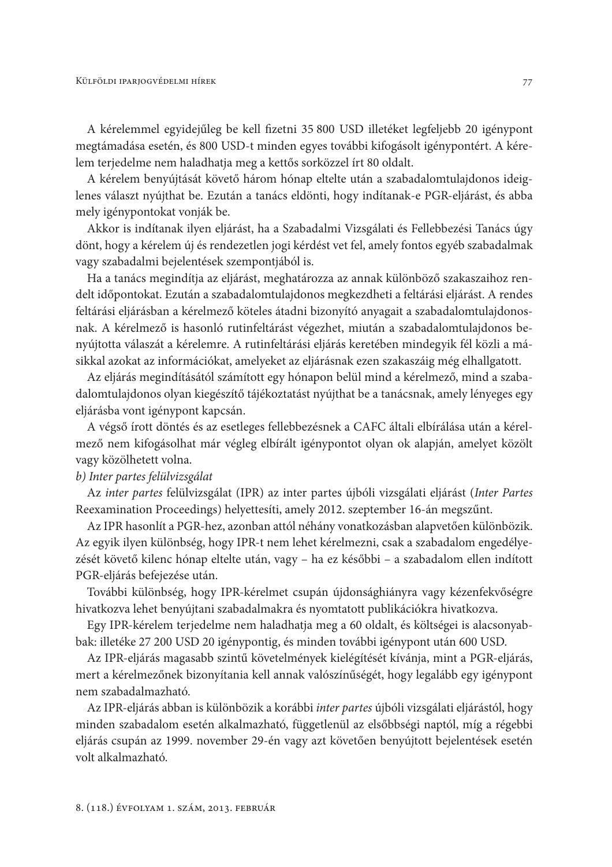A kérelemmel egyidejűleg be kell fizetni 35 800 USD illetéket legfeljebb 20 igénypont megtámadása esetén, és 800 USD-t minden egyes további kifogásolt igénypontért. A kérelem terjedelme nem haladhatja meg a kettős sorközzel írt 80 oldalt.

A kérelem benyújtását követő három hónap eltelte után a szabadalomtulajdonos ideiglenes választ nyújthat be. Ezután a tanács eldönti, hogy indítanak-e PGR-eljárást, és abba mely igénypontokat vonják be.

Akkor is indítanak ilyen eljárást, ha a Szabadalmi Vizsgálati és Fellebbezési Tanács úgy dönt, hogy a kérelem új és rendezetlen jogi kérdést vet fel, amely fontos egyéb szabadalmak vagy szabadalmi bejelentések szempontjából is.

Ha a tanács megindítja az eljárást, meghatározza az annak különböző szakaszaihoz rendelt időpontokat. Ezután a szabadalomtulajdonos megkezdheti a feltárási eljárást. A rendes feltárási eljárásban a kérelmező köteles átadni bizonyító anyagait a szabadalomtulajdonosnak. A kérelmező is hasonló rutinfeltárást végezhet, miután a szabadalomtulajdonos benyújtotta válaszát a kérelemre. A rutinfeltárási eljárás keretében mindegyik fél közli a másikkal azokat az információkat, amelyeket az eljárásnak ezen szakaszáig még elhallgatott.

Az eljárás megindításától számított egy hónapon belül mind a kérelmező, mind a szabadalomtulajdonos olyan kiegészítő tájékoztatást nyújthat be a tanácsnak, amely lényeges egy eljárásba vont igénypont kapcsán.

A végső írott döntés és az esetleges fellebbezésnek a CAFC általi elbírálása után a kérelmező nem kifogásolhat már végleg elbírált igénypontot olyan ok alapján, amelyet közölt vagy közölhetett volna.

# b) Inter partes felülvizsgálat

Az inter partes felülvizsgálat (IPR) az inter partes újbóli vizsgálati eljárást (Inter Partes Reexamination Proceedings) helyettesíti, amely 2012. szeptember 16-án megszűnt.

Az IPR hasonlít a PGR-hez, azonban attól néhány vonatkozásban alapvetően különbözik. Az egyik ilyen különbség, hogy IPR-t nem lehet kérelmezni, csak a szabadalom engedélyezését követő kilenc hónap eltelte után, vagy – ha ez későbbi – a szabadalom ellen indított PGR-eljárás befejezése után.

További különbség, hogy IPR-kérelmet csupán újdonsághiányra vagy kézenfekvőségre hivatkozva lehet benyújtani szabadalmakra és nyomtatott publikációkra hivatkozva.

Egy IPR-kérelem terjedelme nem haladhatja meg a 60 oldalt, és költségei is alacsonyabbak: illetéke 27 200 USD 20 igénypontig, és minden további igénypont után 600 USD.

Az IPR-eljárás magasabb szintű követelmények kielégítését kívánja, mint a PGR-eljárás, mert a kérelmezőnek bizonyítania kell annak valószínűségét, hogy legalább egy igénypont nem szabadalmazható.

Az IPR-eljárás abban is különbözik a korábbi inter partes újbóli vizsgálati eljárástól, hogy minden szabadalom esetén alkalmazható, függetlenül az elsőbbségi naptól, míg a régebbi eljárás csupán az 1999. november 29-én vagy azt követően benyújtott bejelentések esetén volt alkalmazható.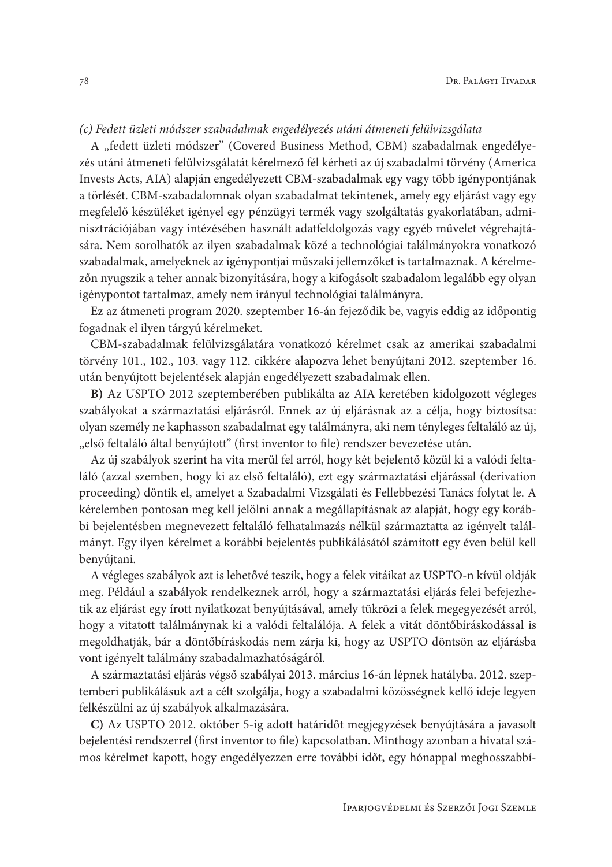# (c) Fedett üzleti módszer szabadalmak engedélyezés utáni átmeneti felülvizsgálata

A "fedett üzleti módszer" (Covered Business Method, CBM) szabadalmak engedélyezés utáni átmeneti felülvizsgálatát kérelmező fél kérheti az új szabadalmi törvény (America Invests Acts, AIA) alapján engedélyezett CBM-szabadalmak egy vagy több igénypontjának a törlését. CBM-szabadalomnak olyan szabadalmat tekintenek, amely egy eljárást vagy egy megfelelő készüléket igényel egy pénzügyi termék vagy szolgáltatás gyakorlatában, adminisztrációjában vagy intézésében használt adatfeldolgozás vagy egyéb művelet végrehajtására. Nem sorolhatók az ilyen szabadalmak közé a technológiai találmányokra vonatkozó szabadalmak, amelyeknek az igénypontjai műszaki jellemzőket is tartalmaznak. A kérelmezőn nyugszik a teher annak bizonyítására, hogy a kifogásolt szabadalom legalább egy olyan igénypontot tartalmaz, amely nem irányul technológiai találmányra.

Ez az átmeneti program 2020. szeptember 16-án fejeződik be, vagyis eddig az időpontig fogadnak el ilyen tárgyú kérelmeket.

CBM-szabadalmak felülvizsgálatára vonatkozó kérelmet csak az amerikai szabadalmi törvény 101., 102., 103. vagy 112. cikkére alapozva lehet benyújtani 2012. szeptember 16. után benyújtott bejelentések alapján engedélyezett szabadalmak ellen.

B) Az USPTO 2012 szeptemberében publikálta az AIA keretében kidolgozott végleges szabályokat a származtatási eljárásról. Ennek az új eljárásnak az a célja, hogy biztosítsa: olyan személy ne kaphasson szabadalmat egy találmányra, aki nem tényleges feltaláló az új, "első feltaláló által benyújtott" (first inventor to file) rendszer bevezetése után.

Az új szabályok szerint ha vita merül fel arról, hogy két bejelentő közül ki a valódi feltaláló (azzal szemben, hogy ki az első feltaláló), ezt egy származtatási eljárással (derivation proceeding) döntik el, amelyet a Szabadalmi Vizsgálati és Fellebbezési Tanács folytat le. A kérelemben pontosan meg kell jelölni annak a megállapításnak az alapját, hogy egy korábbi bejelentésben megnevezett feltaláló felhatalmazás nélkül származtatta az igényelt találmányt. Egy ilyen kérelmet a korábbi bejelentés publikálásától számított egy éven belül kell benyújtani.

A végleges szabályok azt is lehetővé teszik, hogy a felek vitáikat az USPTO-n kívül oldják meg. Például a szabályok rendelkeznek arról, hogy a származtatási eljárás felei befejezhetik az eljárást egy írott nyilatkozat benyújtásával, amely tükrözi a felek megegyezését arról, hogy a vitatott találmánynak ki a valódi feltalálója. A felek a vitát döntőbíráskodással is megoldhatják, bár a döntőbíráskodás nem zárja ki, hogy az USPTO döntsön az eljárásba vont igényelt találmány szabadalmazhatóságáról.

A származtatási eljárás végső szabályai 2013. március 16-án lépnek hatályba. 2012. szeptemberi publikálásuk azt a célt szolgálja, hogy a szabadalmi közösségnek kellő ideje legyen felkészülni az új szabályok alkalmazására.

C) Az USPTO 2012. október 5-ig adott határidőt megjegyzések benyújtására a javasolt bejelentési rendszerrel (first inventor to file) kapcsolatban. Minthogy azonban a hivatal számos kérelmet kapott, hogy engedélyezzen erre további időt, egy hónappal meghosszabbí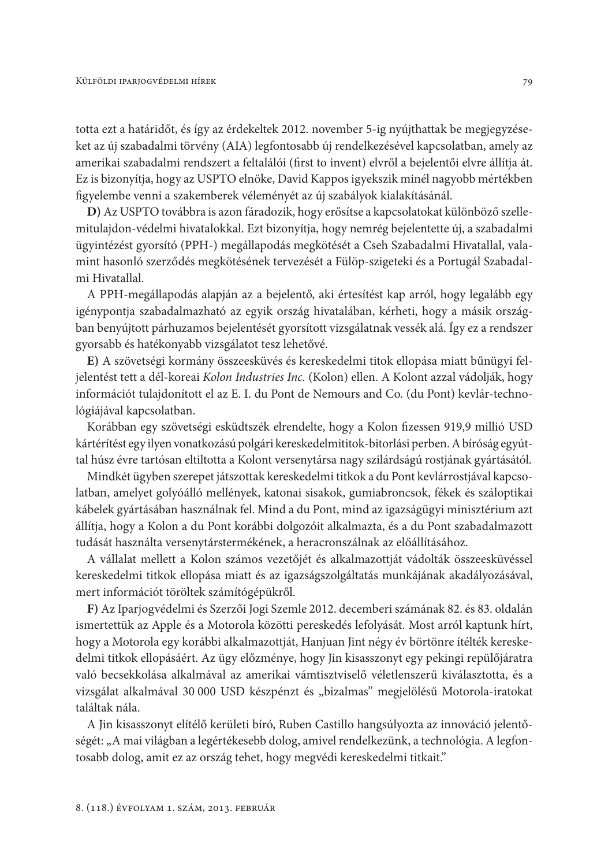totta ezt a határidőt, és így az érdekeltek 2012. november 5-ig nyújthattak be megjegyzéseket az új szabadalmi törvény (AIA) legfontosabb új rendelkezésével kapcsolatban, amely az amerikai szabadalmi rendszert a feltalálói (first to invent) elvről a bejelentői elvre állítja át. Ez is bizonyítja, hogy az USPTO elnöke, David Kappos igyekszik minél nagyobb mértékben figyelembe venni a szakemberek véleményét az új szabályok kialakításánál.

D) Az USPTO továbbra is azon fáradozik, hogy erősítse a kapcsolatokat különböző szellemitulajdon-védelmi hivatalokkal. Ezt bizonyítja, hogy nemrég bejelentette új, a szabadalmi ügyintézést gyorsító (PPH-) megállapodás megkötését a Cseh Szabadalmi Hivatallal, valamint hasonló szerződés megkötésének tervezését a Fülöp-szigeteki és a Portugál Szabadalmi Hivatallal.

A PPH-megállapodás alapján az a bejelentő, aki értesítést kap arról, hogy legalább egy igénypontja szabadalmazható az egyik ország hivatalában, kérheti, hogy a másik országban benyújtott párhuzamos bejelentését gyorsított vizsgálatnak vessék alá. Így ez a rendszer gyorsabb és hatékonyabb vizsgálatot tesz lehetővé.

E) A szövetségi kormány összeesküvés és kereskedelmi titok ellopása miatt bűnügyi feljelentést tett a dél-koreai Kolon Industries Inc. (Kolon) ellen. A Kolont azzal vádolják, hogy információt tulajdonított el az E. I. du Pont de Nemours and Co. (du Pont) kevlár-technológiájával kapcsolatban.

Korábban egy szövetségi esküdtszék elrendelte, hogy a Kolon fizessen 919,9 millió USD kártérítést egy ilyen vonatkozású polgári kereskedelmititok-bitorlási perben. A bíróság egyúttal húsz évre tartósan eltiltotta a Kolont versenytársa nagy szilárdságú rostjának gyártásától.

Mindkét ügyben szerepet játszottak kereskedelmi titkok a du Pont kevlárrostjával kapcsolatban, amelyet golyóálló mellények, katonai sisakok, gumiabroncsok, fékek és száloptikai kábelek gyártásában használnak fel. Mind a du Pont, mind az igazságügyi minisztérium azt állítja, hogy a Kolon a du Pont korábbi dolgozóit alkalmazta, és a du Pont szabadalmazott tudását használta versenytárstermékének, a heracronszálnak az előállításához.

A vállalat mellett a Kolon számos vezetőjét és alkalmazottját vádolták összeesküvéssel kereskedelmi titkok ellopása miatt és az igazságszolgáltatás munkájának akadályozásával, mert információt töröltek számítógépükről.

F) Az Iparjogvédelmi és Szerzői Jogi Szemle 2012. decemberi számának 82. és 83. oldalán ismertettük az Apple és a Motorola közötti pereskedés lefolyását. Most arról kaptunk hírt, hogy a Motorola egy korábbi alkalmazottját, Hanjuan Jint négy év börtönre ítélték kereskedelmi titkok ellopásáért. Az ügy előzménye, hogy Jin kisasszonyt egy pekingi repülőjáratra való becsekkolása alkalmával az amerikai vámtisztviselő véletlenszerű kiválasztotta, és a vizsgálat alkalmával 30 000 USD készpénzt és "bizalmas" megjelölésű Motorola-iratokat találtak nála.

A Jin kisasszonyt elítélő kerületi bíró, Ruben Castillo hangsúlyozta az innováció jelentőségét: "A mai világban a legértékesebb dolog, amivel rendelkezünk, a technológia. A legfontosabb dolog, amit ez az ország tehet, hogy megvédi kereskedelmi titkait."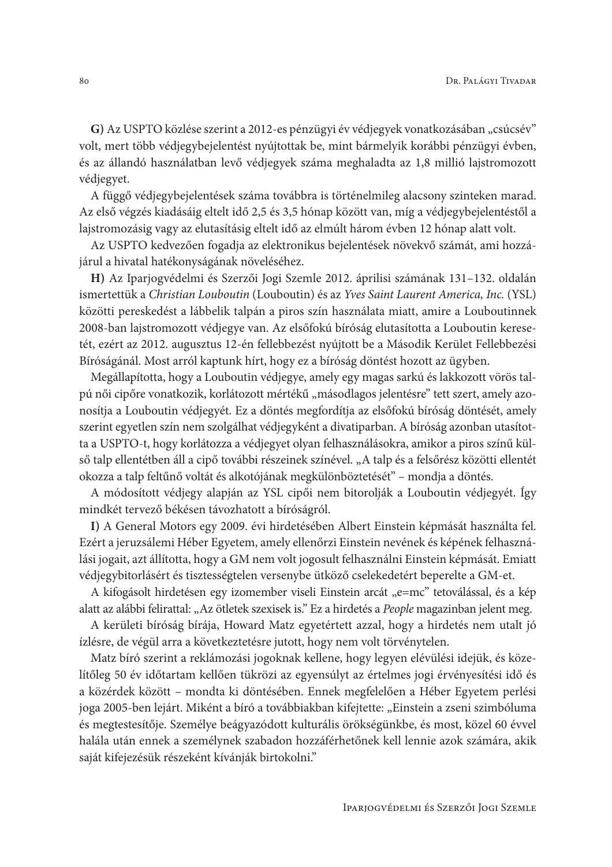G) Az USPTO közlése szerint a 2012-es pénzügyi év védjegyek vonatkozásában "csúcsév" volt, mert több védjegybejelentést nyújtottak be, mint bármelyik korábbi pénzügyi évben, és az állandó használatban levő védjegyek száma meghaladta az 1,8 millió lajstromozott védjegyet.

A függő védjegybejelentések száma továbbra is történelmileg alacsony szinteken marad. Az első végzés kiadásáig eltelt idő 2,5 és 3,5 hónap között van, míg a védjegybejelentéstől a lajstromozásig vagy az elutasításig eltelt idő az elmúlt három évben 12 hónap alatt volt.

Az USPTO kedvezően fogadja az elektronikus bejelentések növekvő számát, ami hozzájárul a hivatal hatékonyságának növeléséhez.

H) Az Iparjogvédelmi és Szerzői Jogi Szemle 2012. áprilisi számának 131-132. oldalán ismertettük a Christian Louboutin (Louboutin) és az Yves Saint Laurent America, Inc. (YSL) közötti pereskedést a lábbelik talpán a piros szín használata miatt, amire a Louboutinnek 2008-ban lajstromozott védjegye van. Az elsőfokú bíróság elutasította a Louboutin keresetét, ezért az 2012. augusztus 12-én fellebbezést nyújtott be a Második Kerület Fellebbezési Bíróságánál. Most arról kaptunk hírt, hogy ez a bíróság döntést hozott az ügyben.

Megállapította, hogy a Louboutin védjegye, amely egy magas sarkú és lakkozott vörös talpú női cipőre vonatkozik, korlátozott mértékű "másodlagos jelentésre" tett szert, amely azonosítja a Louboutin védjegyét. Ez a döntés megfordítja az elsőfokú bíróság döntését, amely szerint egyetlen szín nem szolgálhat védjegyként a divatiparban. A bíróság azonban utasította a USPTO-t, hogy korlátozza a védjegyet olyan felhasználásokra, amikor a piros színű külső talp ellentétben áll a cipő további részeinek színével. "A talp és a felsőrész közötti ellentét okozza a talp feltűnő voltát és alkotójának megkülönböztetését" – mondja a döntés.

A módosított védjegy alapján az YSL cipői nem bitorolják a Louboutin védjegyét. Így mindkét tervező békésen távozhatott a bíróságról.

I) A General Motors egy 2009. évi hirdetésében Albert Einstein képmását használta fel. Ezért a jeruzsálemi Héber Egyetem, amely ellenőrzi Einstein nevének és képének felhasználási jogait, azt állította, hogy a GM nem volt jogosult felhasználni Einstein képmását. Emiatt védjegybitorlásért és tisztességtelen versenybe ütköző cselekedetért beperelte a GM-et.

A kifogásolt hirdetésen egy izomember viseli Einstein arcát "e=mc" tetoválással, és a kép alatt az alábbi felirattal: "Az ötletek szexisek is." Ez a hirdetés a People magazinban jelent meg.

A kerületi bíróság bírája, Howard Matz egyetértett azzal, hogy a hirdetés nem utalt jó ízlésre, de végül arra a következtetésre jutott, hogy nem volt törvénytelen.

Matz bíró szerint a reklámozási jogoknak kellene, hogy legyen elévülési idejük, és közelítőleg 50 év időtartam kellően tükrözi az egyensúlyt az értelmes jogi érvényesítési idő és a közérdek között – mondta ki döntésében. Ennek megfelelően a Héber Egyetem perlési joga 2005-ben lejárt. Miként a bíró a továbbiakban kifejtette: "Einstein a zseni szimbóluma és megtestesítője. Személye beágyazódott kulturális örökségünkbe, és most, közel 60 évvel halála után ennek a személynek szabadon hozzáférhetőnek kell lennie azok számára, akik saját kifejezésük részeként kívánják birtokolni."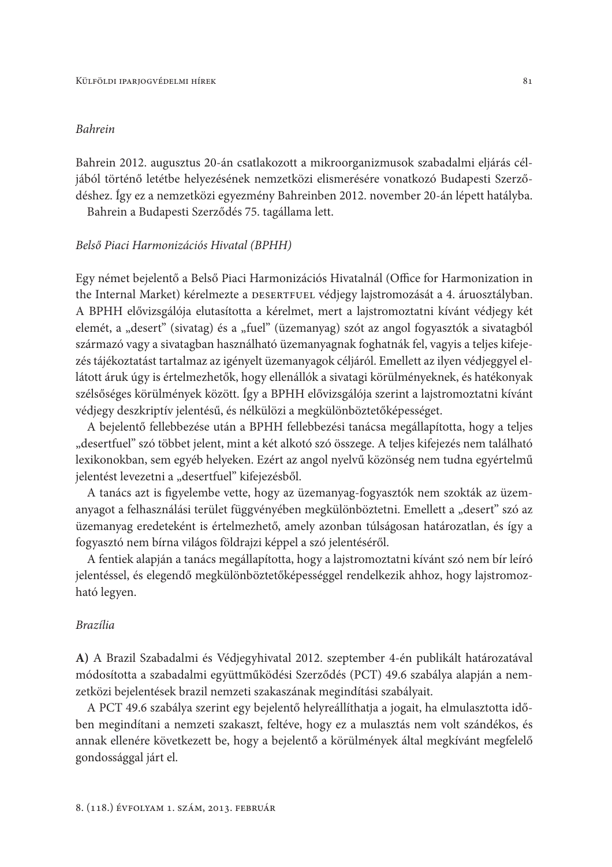### **Bahrein**

Bahrein 2012. augusztus 20-án csatlakozott a mikroorganizmusok szabadalmi eljárás céljából történő letétbe helyezésének nemzetközi elismerésére vonatkozó Budapesti Szerződéshez. Így ez a nemzetközi egyezmény Bahreinben 2012. november 20-án lépett hatályba.

Bahrein a Budapesti Szerződés 75. tagállama lett.

### Belső Piaci Harmonizációs Hivatal (BPHH)

Egy német bejelentő a Belső Piaci Harmonizációs Hivatalnál (Office for Harmonization in the Internal Market) kérelmezte a DESERTFUEL védjegy lajstromozását a 4. áruosztályban. A BPHH elővizsgálója elutasította a kérelmet, mert a lajstromoztatni kívánt védjegy két elemét, a "desert" (sivatag) és a "fuel" (üzemanyag) szót az angol fogyasztók a sivatagból származó vagy a sivatagban használható üzemanyagnak foghatnák fel, vagyis a teljes kifejezés tájékoztatást tartalmaz az igényelt üzemanyagok céljáról. Emellett az ilyen védjeggyel ellátott áruk úgy is értelmezhetők, hogy ellenállók a sivatagi körülményeknek, és hatékonyak szélsőséges körülmények között. Így a BPHH elővizsgálója szerint a lajstromoztatni kívánt védjegy deszkriptív jelentésű, és nélkülözi a megkülönböztetőképességet.

A bejelentő fellebbezése után a BPHH fellebbezési tanácsa megállapította, hogy a teljes "desertfuel" szó többet jelent, mint a két alkotó szó összege. A teljes kifejezés nem található lexikonokban, sem egyéb helyeken. Ezért az angol nyelvű közönség nem tudna egyértelmű jelentést levezetni a "desertfuel" kifejezésből.

A tanács azt is figyelembe vette, hogy az üzemanyag-fogyasztók nem szokták az üzemanyagot a felhasználási terület függvényében megkülönböztetni. Emellett a "desert" szó az üzemanyag eredeteként is értelmezhető, amely azonban túlságosan határozatlan, és így a fogyasztó nem bírna világos földrajzi képpel a szó jelentéséről.

A fentiek alapján a tanács megállapította, hogy a lajstromoztatni kívánt szó nem bír leíró jelentéssel, és elegendő megkülönböztetőképességgel rendelkezik ahhoz, hogy lajstromozható legyen.

### **Brazília**

A) A Brazil Szabadalmi és Védjegyhivatal 2012. szeptember 4-én publikált határozatával módosította a szabadalmi együttműködési Szerződés (PCT) 49.6 szabálya alapján a nemzetközi bejelentések brazil nemzeti szakaszának megindítási szabályait.

A PCT 49.6 szabálya szerint egy bejelentő helyreállíthatja a jogait, ha elmulasztotta időben megindítani a nemzeti szakaszt, feltéve, hogy ez a mulasztás nem volt szándékos, és annak ellenére következett be, hogy a bejelentő a körülmények által megkívánt megfelelő gondossággal járt el.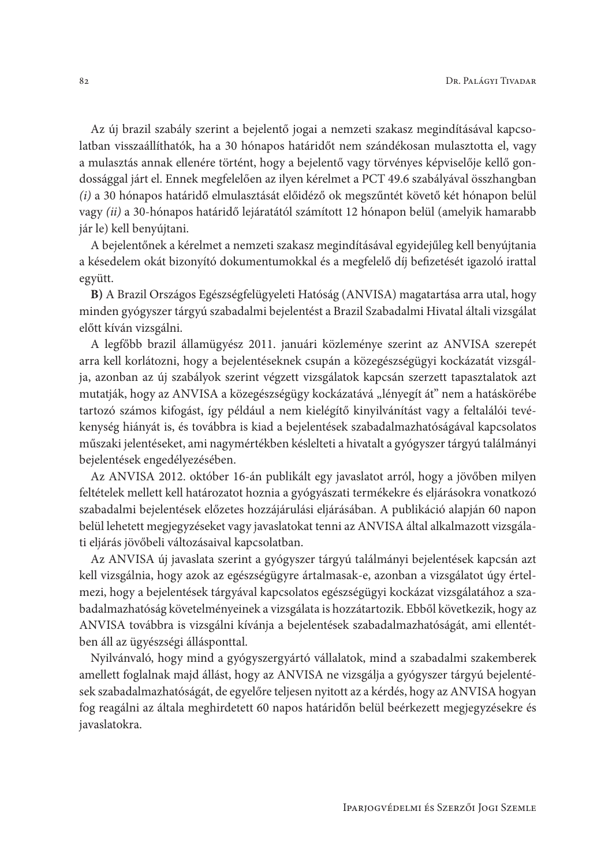Az új brazil szabály szerint a bejelentő jogai a nemzeti szakasz megindításával kapcsolatban visszaállíthatók, ha a 30 hónapos határidőt nem szándékosan mulasztotta el, vagy a mulasztás annak ellenére történt, hogy a bejelentő vagy törvényes képviselője kellő gondossággal járt el. Ennek megfelelően az ilyen kérelmet a PCT 49.6 szabályával összhangban (i) a 30 hónapos határidő elmulasztását előidéző ok megszűntét követő két hónapon belül vagy (ii) a 30-hónapos határidő lejáratától számított 12 hónapon belül (amelyik hamarabb jár le) kell benyújtani.

A bejelentőnek a kérelmet a nemzeti szakasz megindításával egyidejűleg kell benyújtania a késedelem okát bizonyító dokumentumokkal és a megfelelő díj befizetését igazoló irattal együtt.

B) A Brazil Országos Egészségfelügyeleti Hatóság (ANVISA) magatartása arra utal, hogy minden gyógyszer tárgyú szabadalmi bejelentést a Brazil Szabadalmi Hivatal általi vizsgálat előtt kíván vizsgálni.

A legfőbb brazil államügyész 2011. januári közleménye szerint az ANVISA szerepét arra kell korlátozni, hogy a bejelentéseknek csupán a közegészségügyi kockázatát vizsgálja, azonban az új szabályok szerint végzett vizsgálatok kapcsán szerzett tapasztalatok azt mutatják, hogy az ANVISA a közegészségügy kockázatává "lényegít át" nem a hatáskörébe tartozó számos kifogást, így például a nem kielégítő kinyilvánítást vagy a feltalálói tevékenység hiányát is, és továbbra is kiad a bejelentések szabadalmazhatóságával kapcsolatos műszaki jelentéseket, ami nagymértékben késlelteti a hivatalt a gyógyszer tárgyú találmányi bejelentések engedélyezésében.

Az ANVISA 2012. október 16-án publikált egy javaslatot arról, hogy a jövőben milyen feltételek mellett kell határozatot hoznia a gyógyászati termékekre és eljárásokra vonatkozó szabadalmi bejelentések előzetes hozzájárulási eljárásában. A publikáció alapján 60 napon belül lehetett megjegyzéseket vagy javaslatokat tenni az ANVISA által alkalmazott vizsgálati eljárás jövőbeli változásaival kapcsolatban.

Az ANVISA új javaslata szerint a gyógyszer tárgyú találmányi bejelentések kapcsán azt kell vizsgálnia, hogy azok az egészségügyre ártalmasak-e, azonban a vizsgálatot úgy értelmezi, hogy a bejelentések tárgyával kapcsolatos egészségügyi kockázat vizsgálatához a szabadalmazhatóság követelményeinek a vizsgálata is hozzátartozik. Ebből következik, hogy az ANVISA továbbra is vizsgálni kívánja a bejelentések szabadalmazhatóságát, ami ellentétben áll az ügyészségi állásponttal.

Nyilvánvaló, hogy mind a gyógyszergyártó vállalatok, mind a szabadalmi szakemberek amellett foglalnak majd állást, hogy az ANVISA ne vizsgálja a gyógyszer tárgyú bejelentések szabadalmazhatóságát, de egyelőre teljesen nyitott az a kérdés, hogy az ANVISA hogyan fog reagálni az általa meghirdetett 60 napos határidőn belül beérkezett megjegyzésekre és javaslatokra.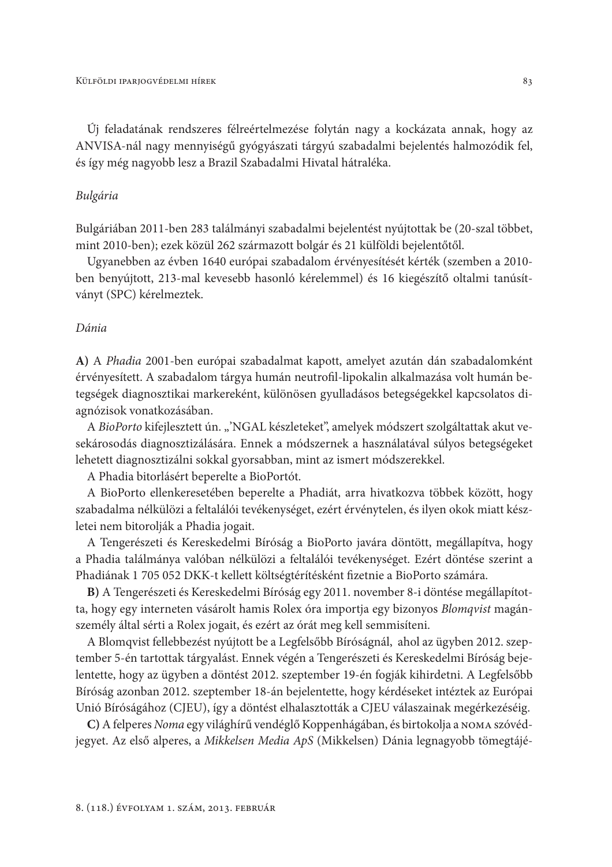Új feladatának rendszeres félreértelmezése folytán nagy a kockázata annak, hogy az ANVISA-nál nagy mennyiségű gyógyászati tárgyú szabadalmi bejelentés halmozódik fel, és így még nagyobb lesz a Brazil Szabadalmi Hivatal hátraléka.

### Bulgária

Bulgáriában 2011-ben 283 találmányi szabadalmi bejelentést nyújtottak be (20-szal többet, mint 2010-ben); ezek közül 262 származott bolgár és 21 külföldi bejelentőtől.

Ugyanebben az évben 1640 európai szabadalom érvényesítését kérték (szemben a 2010ben benyújtott, 213-mal kevesebb hasonló kérelemmel) és 16 kiegészítő oltalmi tanúsítványt (SPC) kérelmeztek.

### Dánia

A) A Phadia 2001-ben európai szabadalmat kapott, amelyet azután dán szabadalomként érvényesített. A szabadalom tárgya humán neutrofil-lipokalin alkalmazása volt humán betegségek diagnosztikai markereként, különösen gyulladásos betegségekkel kapcsolatos diagnózisok vonatkozásában.

A BioPorto kifejlesztett ún. "'NGAL készleteket", amelyek módszert szolgáltattak akut vesekárosodás diagnosztizálására. Ennek a módszernek a használatával súlyos betegségeket lehetett diagnosztizálni sokkal gyorsabban, mint az ismert módszerekkel.

A Phadia bitorlásért beperelte a BioPortót.

A BioPorto ellenkeresetében beperelte a Phadiát, arra hivatkozva többek között, hogy szabadalma nélkülözi a feltalálói tevékenységet, ezért érvénytelen, és ilyen okok miatt készletei nem bitorolják a Phadia jogait.

A Tengerészeti és Kereskedelmi Bíróság a BioPorto javára döntött, megállapítva, hogy a Phadia találmánya valóban nélkülözi a feltalálói tevékenységet. Ezért döntése szerint a Phadiának 1 705 052 DKK-t kellett költségtérítésként fizetnie a BioPorto számára.

B) A Tengerészeti és Kereskedelmi Bíróság egy 2011. november 8-i döntése megállapította, hogy egy interneten vásárolt hamis Rolex óra importja egy bizonyos Blomqvist magánszemély által sérti a Rolex jogait, és ezért az órát meg kell semmisíteni.

A Blomqvist fellebbezést nyújtott be a Legfelsőbb Bíróságnál, ahol az ügyben 2012. szeptember 5-én tartottak tárgyalást. Ennek végén a Tengerészeti és Kereskedelmi Bíróság bejelentette, hogy az ügyben a döntést 2012. szeptember 19-én fogják kihirdetni. A Legfelsőbb Bíróság azonban 2012. szeptember 18-án bejelentette, hogy kérdéseket intéztek az Európai Unió Bíróságához (CJEU), így a döntést elhalasztották a CJEU válaszainak megérkezéséig.

C) A felperes Noma egy világhírű vendéglő Koppenhágában, és birtokolja a NOMA szóvédjegyet. Az első alperes, a Mikkelsen Media ApS (Mikkelsen) Dánia legnagyobb tömegtájé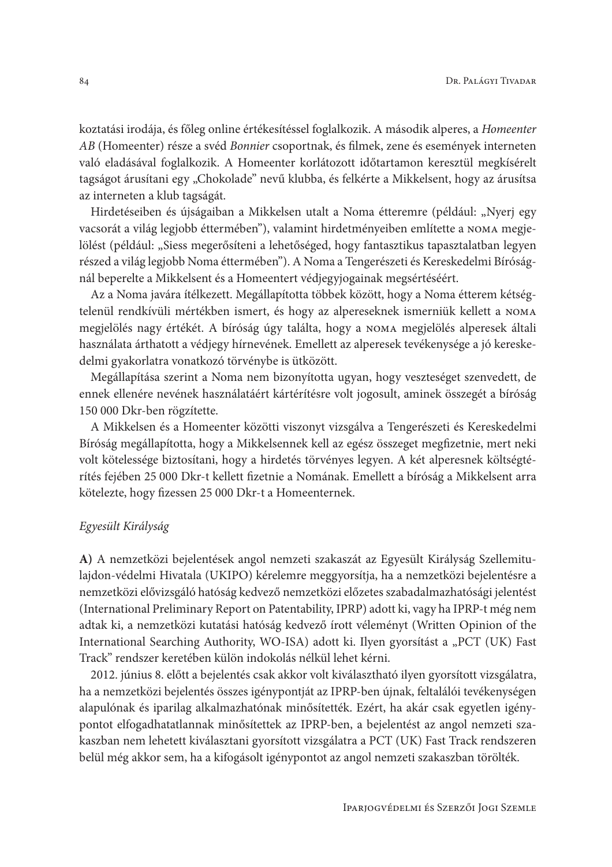koztatási irodája, és főleg online értékesítéssel foglalkozik. A második alperes, a Homeenter AB (Homeenter) része a svéd Bonnier csoportnak, és filmek, zene és események interneten való eladásával foglalkozik. A Homeenter korlátozott időtartamon keresztül megkísérelt tagságot árusítani egy "Chokolade" nevű klubba, és felkérte a Mikkelsent, hogy az árusítsa az interneten a klub tagságát.

Hirdetéseiben és újságaiban a Mikkelsen utalt a Noma étteremre (például: "Nyerj egy vacsorát a világ legjobb éttermében"), valamint hirdetményeiben említette a NOMA megjelölést (például: "Siess megerősíteni a lehetőséged, hogy fantasztikus tapasztalatban legyen részed a világ legjobb Noma éttermében"). A Noma a Tengerészeti és Kereskedelmi Bíróságnál beperelte a Mikkelsent és a Homeentert védjegyjogainak megsértéséért.

Az a Noma javára ítélkezett. Megállapította többek között, hogy a Noma étterem kétségtelenül rendkívüli mértékben ismert, és hogy az alpereseknek ismerniük kellett a NOMA megjelölés nagy értékét. A bíróság úgy találta, hogy a noma megjelölés alperesek általi használata árthatott a védjegy hírnevének. Emellett az alperesek tevékenysége a jó kereskedelmi gyakorlatra vonatkozó törvénybe is ütközött.

Megállapítása szerint a Noma nem bizonyította ugyan, hogy veszteséget szenvedett, de ennek ellenére nevének használatáért kártérítésre volt jogosult, aminek összegét a bíróság 150 000 Dkr-ben rögzítette.

A Mikkelsen és a Homeenter közötti viszonyt vizsgálva a Tengerészeti és Kereskedelmi Bíróság megállapította, hogy a Mikkelsennek kell az egész összeget megfizetnie, mert neki volt kötelessége biztosítani, hogy a hirdetés törvényes legyen. A két alperesnek költségtérítés fejében 25 000 Dkr-t kellett fizetnie a Nomának. Emellett a bíróság a Mikkelsent arra kötelezte, hogy fizessen 25 000 Dkr-t a Homeenternek.

### Egyesült Királyság

A) A nemzetközi bejelentések angol nemzeti szakaszát az Egyesült Királyság Szellemitulajdon-védelmi Hivatala (UKIPO) kérelemre meggyorsítja, ha a nemzetközi bejelentésre a nemzetközi elővizsgáló hatóság kedvező nemzetközi előzetes szabadalmazhatósági jelentést (International Preliminary Report on Patentability, IPRP) adott ki, vagy ha IPRP-t még nem adtak ki, a nemzetközi kutatási hatóság kedvező írott véleményt (Written Opinion of the International Searching Authority, WO-ISA) adott ki. Ilyen gyorsítást a "PCT (UK) Fast Track" rendszer keretében külön indokolás nélkül lehet kérni.

2012. június 8. előtt a bejelentés csak akkor volt kiválasztható ilyen gyorsított vizsgálatra, ha a nemzetközi bejelentés összes igénypontját az IPRP-ben újnak, feltalálói tevékenységen alapulónak és iparilag alkalmazhatónak minősítették. Ezért, ha akár csak egyetlen igénypontot elfogadhatatlannak minősítettek az IPRP-ben, a bejelentést az angol nemzeti szakaszban nem lehetett kiválasztani gyorsított vizsgálatra a PCT (UK) Fast Track rendszeren belül még akkor sem, ha a kifogásolt igénypontot az angol nemzeti szakaszban törölték.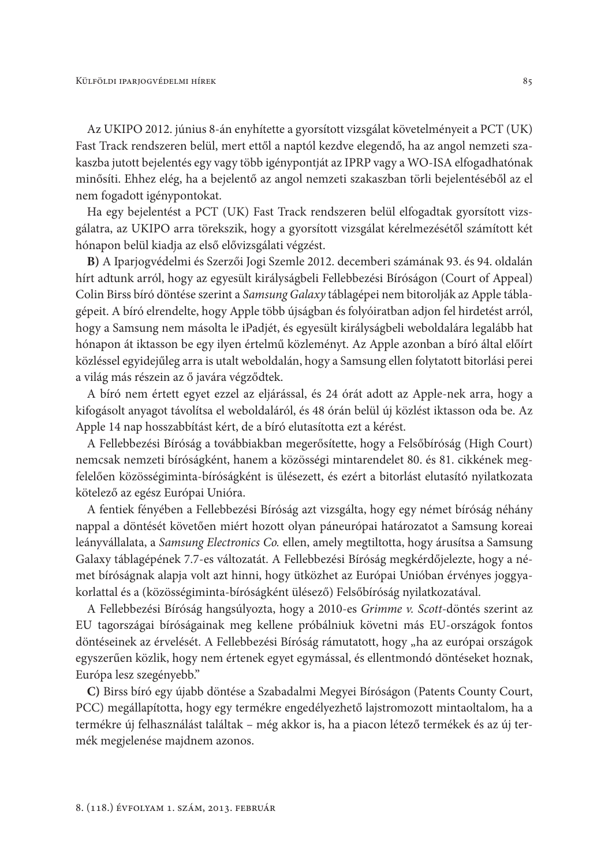Az UKIPO 2012. június 8-án enyhítette a gyorsított vizsgálat követelményeit a PCT (UK) Fast Track rendszeren belül, mert ettől a naptól kezdve elegendő, ha az angol nemzeti szakaszba jutott bejelentés egy vagy több igénypontját az IPRP vagy a WO-ISA elfogadhatónak minősíti. Ehhez elég, ha a bejelentő az angol nemzeti szakaszban törli bejelentéséből az el nem fogadott igénypontokat.

Ha egy bejelentést a PCT (UK) Fast Track rendszeren belül elfogadtak gyorsított vizsgálatra, az UKIPO arra törekszik, hogy a gyorsított vizsgálat kérelmezésétől számított két hónapon belül kiadja az első elővizsgálati végzést.

B) A Iparjogvédelmi és Szerzői Jogi Szemle 2012. decemberi számának 93. és 94. oldalán hírt adtunk arról, hogy az egyesült királyságbeli Fellebbezési Bíróságon (Court of Appeal) Colin Birss bíró döntése szerint a Samsung Galaxy táblagépei nem bitorolják az Apple táblagépeit. A bíró elrendelte, hogy Apple több újságban és folyóiratban adjon fel hirdetést arról, hogy a Samsung nem másolta le iPadjét, és egyesült királyságbeli weboldalára legalább hat hónapon át iktasson be egy ilyen értelmű közleményt. Az Apple azonban a bíró által előírt közléssel egyidejűleg arra is utalt weboldalán, hogy a Samsung ellen folytatott bitorlási perei a világ más részein az ő javára végződtek.

A bíró nem értett egyet ezzel az eljárással, és 24 órát adott az Apple-nek arra, hogy a kifogásolt anyagot távolítsa el weboldaláról, és 48 órán belül új közlést iktasson oda be. Az Apple 14 nap hosszabbítást kért, de a bíró elutasította ezt a kérést.

A Fellebbezési Bíróság a továbbiakban megerősítette, hogy a Felsőbíróság (High Court) nemcsak nemzeti bíróságként, hanem a közösségi mintarendelet 80. és 81. cikkének megfelelően közösségiminta-bíróságként is ülésezett, és ezért a bitorlást elutasító nyilatkozata kötelező az egész Európai Unióra.

A fentiek fényében a Fellebbezési Bíróság azt vizsgálta, hogy egy német bíróság néhány nappal a döntését követően miért hozott olyan páneurópai határozatot a Samsung koreai leányvállalata, a Samsung Electronics Co. ellen, amely megtiltotta, hogy árusítsa a Samsung Galaxy táblagépének 7.7-es változatát. A Fellebbezési Bíróság megkérdőjelezte, hogy a német bíróságnak alapja volt azt hinni, hogy ütközhet az Európai Unióban érvényes joggyakorlattal és a (közösségiminta-bíróságként ülésező) Felsőbíróság nyilatkozatával.

A Fellebbezési Bíróság hangsúlyozta, hogy a 2010-es Grimme v. Scott-döntés szerint az EU tagországai bíróságainak meg kellene próbálniuk követni más EU-országok fontos döntéseinek az érvelését. A Fellebbezési Bíróság rámutatott, hogy "ha az európai országok egyszerűen közlik, hogy nem értenek egyet egymással, és ellentmondó döntéseket hoznak, Európa lesz szegényebb."

C) Birss bíró egy újabb döntése a Szabadalmi Megyei Bíróságon (Patents County Court, PCC) megállapította, hogy egy termékre engedélyezhető lajstromozott mintaoltalom, ha a termékre új felhasználást találtak – még akkor is, ha a piacon létező termékek és az új termék megjelenése majdnem azonos.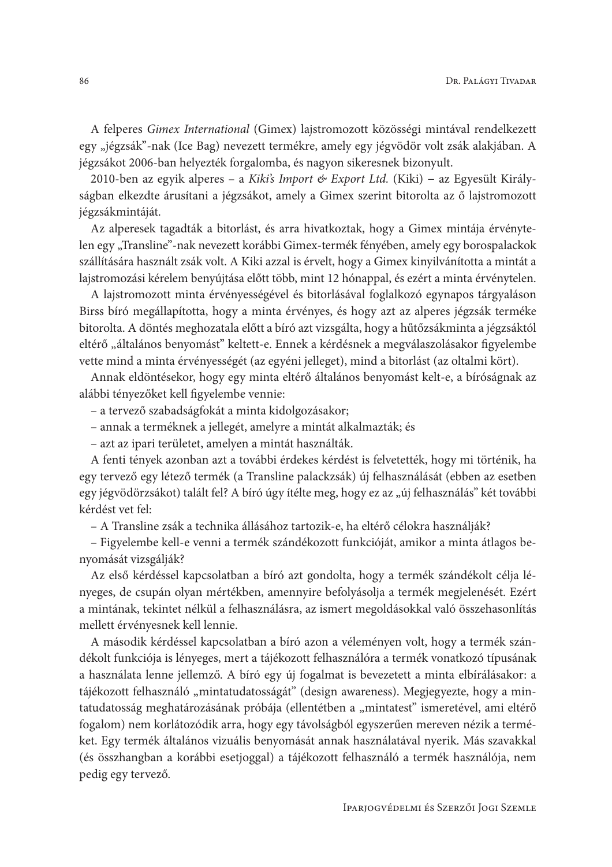A felperes Gimex International (Gimex) lajstromozott közösségi mintával rendelkezett egy "jégzsák"-nak (Ice Bag) nevezett termékre, amely egy jégvödör volt zsák alakjában. A jégzsákot 2006-ban helyezték forgalomba, és nagyon sikeresnek bizonyult.

2010-ben az egyik alperes - a Kiki's Import & Export Ltd. (Kiki) - az Egyesült Királyságban elkezdte árusítani a jégzsákot, amely a Gimex szerint bitorolta az ő lajstromozott jégzsákmintáját.

Az alperesek tagadták a bitorlást, és arra hivatkoztak, hogy a Gimex mintája érvénytelen egy "Transline"-nak nevezett korábbi Gimex-termék fényében, amely egy borospalackok szállítására használt zsák volt. A Kiki azzal is érvelt, hogy a Gimex kinyilvánította a mintát a lajstromozási kérelem benyújtása előtt több, mint 12 hónappal, és ezért a minta érvénytelen.

A lajstromozott minta érvényességével és bitorlásával foglalkozó egynapos tárgyaláson Birss bíró megállapította, hogy a minta érvényes, és hogy azt az alperes jégzsák terméke bitorolta. A döntés meghozatala előtt a bíró azt vizsgálta, hogy a hűtőzsákminta a jégzsáktól eltérő "általános benyomást" keltett-e. Ennek a kérdésnek a megválaszolásakor figyelembe vette mind a minta érvényességét (az egyéni jelleget), mind a bitorlást (az oltalmi kört).

Annak eldöntésekor, hogy egy minta eltérő általános benyomást kelt-e, a bíróságnak az alábbi tényezőket kell figyelembe vennie:

- a tervező szabadságfokát a minta kidolgozásakor;
- annak a terméknek a jellegét, amelyre a mintát alkalmazták; és
- azt az ipari területet, amelyen a mintát használták.

A fenti tények azonban azt a további érdekes kérdést is felvetették, hogy mi történik, ha egy tervező egy létező termék (a Transline palackzsák) új felhasználását (ebben az esetben egy jégvödörzsákot) talált fel? A bíró úgy ítélte meg, hogy ez az "új felhasználás" két további kérdést vet fel:

– A Transline zsák a technika állásához tartozik-e, ha eltérő célokra használják?

- Figyelembe kell-e venni a termék szándékozott funkcióját, amikor a minta átlagos benyomását vizsgálják?

Az első kérdéssel kapcsolatban a bíró azt gondolta, hogy a termék szándékolt célja lényeges, de csupán olyan mértékben, amennyire befolyásolja a termék megjelenését. Ezért a mintának, tekintet nélkül a felhasználásra, az ismert megoldásokkal való összehasonlítás mellett érvényesnek kell lennie.

A második kérdéssel kapcsolatban a bíró azon a véleményen volt, hogy a termék szándékolt funkciója is lényeges, mert a tájékozott felhasználóra a termék vonatkozó típusának a használata lenne jellemző. A bíró egy új fogalmat is bevezetett a minta elbírálásakor: a tájékozott felhasználó "mintatudatosságát" (design awareness). Megjegyezte, hogy a mintatudatosság meghatározásának próbája (ellentétben a "mintatest" ismeretével, ami eltérő fogalom) nem korlátozódik arra, hogy egy távolságból egyszerűen mereven nézik a terméket. Egy termék általános vizuális benyomását annak használatával nyerik. Más szavakkal (és összhangban a korábbi esetjoggal) a tájékozott felhasználó a termék használója, nem pedig egy tervező.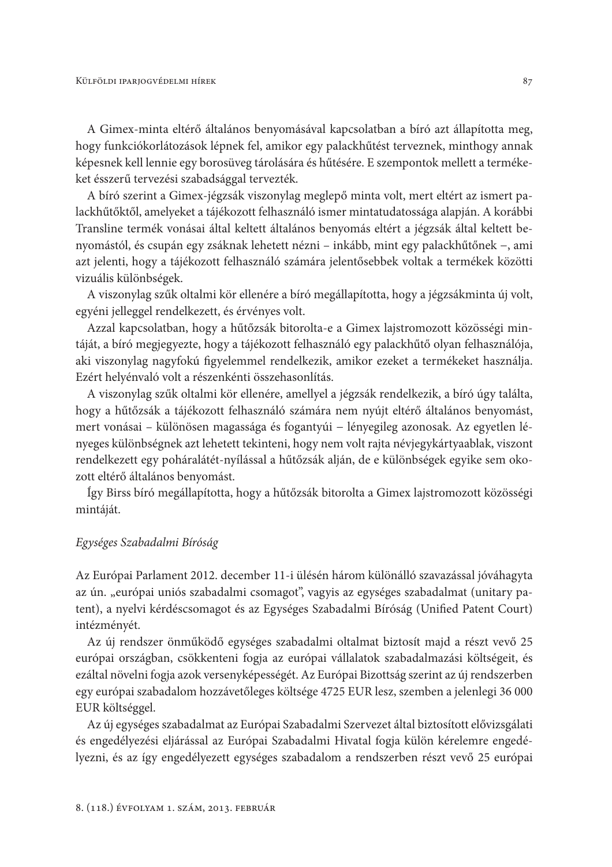A Gimex-minta eltérő általános benyomásával kapcsolatban a bíró azt állapította meg, hogy funkciókorlátozások lépnek fel, amikor egy palackhűtést terveznek, minthogy annak képesnek kell lennie egy borosüveg tárolására és hűtésére. E szempontok mellett a termékeket ésszerű tervezési szabadsággal tervezték.

A bíró szerint a Gimex-jégzsák viszonylag meglepő minta volt, mert eltért az ismert palackhűtőktől, amelyeket a tájékozott felhasználó ismer mintatudatossága alapján. A korábbi Transline termék vonásai által keltett általános benyomás eltért a jégzsák által keltett benyomástól, és csupán egy zsáknak lehetett nézni – inkább, mint egy palackhűtőnek –, ami azt jelenti, hogy a tájékozott felhasználó számára jelentősebbek voltak a termékek közötti vizuális különbségek.

A viszonylag szűk oltalmi kör ellenére a bíró megállapította, hogy a jégzsákminta új volt, egyéni jelleggel rendelkezett, és érvényes volt.

Azzal kapcsolatban, hogy a hűtőzsák bitorolta-e a Gimex lajstromozott közösségi mintáját, a bíró megjegyezte, hogy a tájékozott felhasználó egy palackhűtő olyan felhasználója, aki viszonylag nagyfokú figyelemmel rendelkezik, amikor ezeket a termékeket használja. Ezért helyénvaló volt a részenkénti összehasonlítás.

A viszonylag szűk oltalmi kör ellenére, amellyel a jégzsák rendelkezik, a bíró úgy találta, hogy a hűtőzsák a tájékozott felhasználó számára nem nyújt eltérő általános benyomást, mert vonásai – különösen magassága és fogantyúi – lényegileg azonosak. Az egyetlen lényeges különbségnek azt lehetett tekinteni, hogy nem volt rajta névjegykártyaablak, viszont rendelkezett egy poháralátét-nyílással a hűtőzsák alján, de e különbségek egyike sem okozott eltérő általános benyomást.

Így Birss bíró megállapította, hogy a hűtőzsák bitorolta a Gimex lajstromozott közösségi mintáját.

#### Egységes Szabadalmi Bíróság

Az Európai Parlament 2012. december 11-i ülésén három különálló szavazással jóváhagyta az ún. "európai uniós szabadalmi csomagot", vagyis az egységes szabadalmat (unitary patent), a nyelvi kérdéscsomagot és az Egységes Szabadalmi Bíróság (Unified Patent Court) intézményét.

Az új rendszer önműködő egységes szabadalmi oltalmat biztosít majd a részt vevő 25 európai országban, csökkenteni fogja az európai vállalatok szabadalmazási költségeit, és ezáltal növelni fogja azok versenyképességét. Az Európai Bizottság szerint az új rendszerben egy európai szabadalom hozzávetőleges költsége 4725 EUR lesz, szemben a jelenlegi 36 000 EUR költséggel.

Az új egységes szabadalmat az Európai Szabadalmi Szervezet által biztosított elővizsgálati és engedélyezési eljárással az Európai Szabadalmi Hivatal fogja külön kérelemre engedélyezni, és az így engedélyezett egységes szabadalom a rendszerben részt vevő 25 európai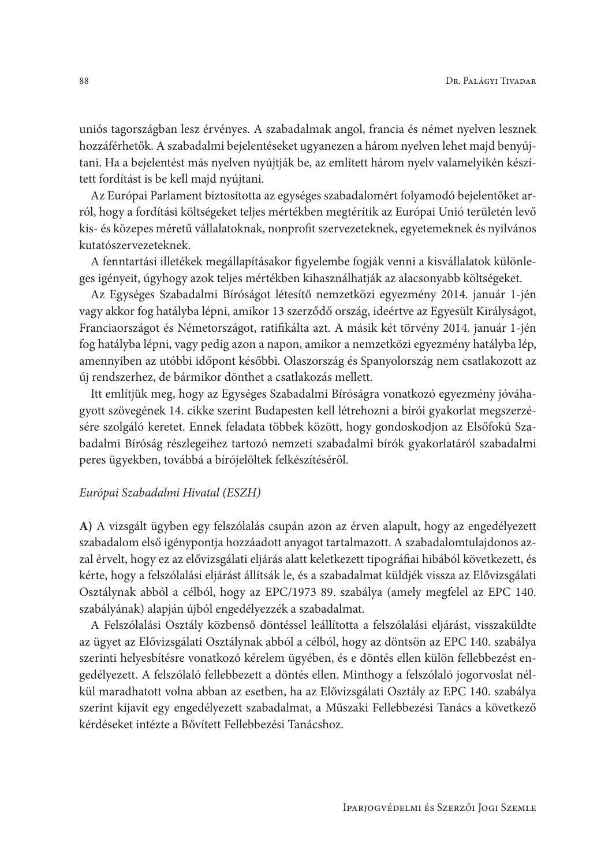uniós tagországban lesz érvényes. A szabadalmak angol, francia és német nyelven lesznek hozzáférhetők. A szabadalmi bejelentéseket ugyanezen a három nyelven lehet majd benyújtani. Ha a bejelentést más nyelven nyújtják be, az említett három nyelv valamelyikén készített fordítást is be kell majd nyújtani.

Az Európai Parlament biztosította az egységes szabadalomért folyamodó bejelentőket arról, hogy a fordítási költségeket teljes mértékben megtérítik az Európai Unió területén levő kis- és közepes méretű vállalatoknak, nonprofit szervezeteknek, egyetemeknek és nyilvános kutatószervezeteknek.

A fenntartási illetékek megállapításakor figyelembe fogják venni a kisvállalatok különleges igényeit, úgyhogy azok teljes mértékben kihasználhatják az alacsonyabb költségeket.

Az Egységes Szabadalmi Bíróságot létesítő nemzetközi egyezmény 2014. január 1-jén vagy akkor fog hatályba lépni, amikor 13 szerződő ország, ideértve az Egyesült Királyságot, Franciaországot és Németországot, ratifikálta azt. A másik két törvény 2014. január 1-jén fog hatályba lépni, vagy pedig azon a napon, amikor a nemzetközi egyezmény hatályba lép, amennyiben az utóbbi időpont későbbi. Olaszország és Spanyolország nem csatlakozott az új rendszerhez, de bármikor dönthet a csatlakozás mellett.

Itt említjük meg, hogy az Egységes Szabadalmi Bíróságra vonatkozó egyezmény jóváhagyott szövegének 14. cikke szerint Budapesten kell létrehozni a bírói gyakorlat megszerzésére szolgáló keretet. Ennek feladata többek között, hogy gondoskodjon az Elsőfokú Szabadalmi Bíróság részlegeihez tartozó nemzeti szabadalmi bírók gyakorlatáról szabadalmi peres ügyekben, továbbá a bírójelöltek felkészítéséről.

### Európai Szabadalmi Hivatal (ESZH)

A) A vizsgált ügyben egy felszólalás csupán azon az érven alapult, hogy az engedélyezett szabadalom első igénypontja hozzáadott anyagot tartalmazott. A szabadalomtulajdonos azzal érvelt, hogy ez az elővizsgálati eljárás alatt keletkezett tipográfiai hibából következett, és kérte, hogy a felszólalási eljárást állítsák le, és a szabadalmat küldjék vissza az Elővizsgálati Osztálynak abból a célból, hogy az EPC/1973 89. szabálya (amely megfelel az EPC 140. szabályának) alapján újból engedélyezzék a szabadalmat.

A Felszólalási Osztály közbenső döntéssel leállította a felszólalási eljárást, visszaküldte az ügyet az Elővizsgálati Osztálynak abból a célból, hogy az döntsön az EPC 140. szabálya szerinti helyesbítésre vonatkozó kérelem ügyében, és e döntés ellen külön fellebbezést engedélyezett. A felszólaló fellebbezett a döntés ellen. Minthogy a felszólaló jogoryoslat nélkül maradhatott volna abban az esetben, ha az Elővizsgálati Osztály az EPC 140. szabálya szerint kijavít egy engedélyezett szabadalmat, a Műszaki Fellebbezési Tanács a következő kérdéseket intézte a Bővített Fellebbezési Tanácshoz.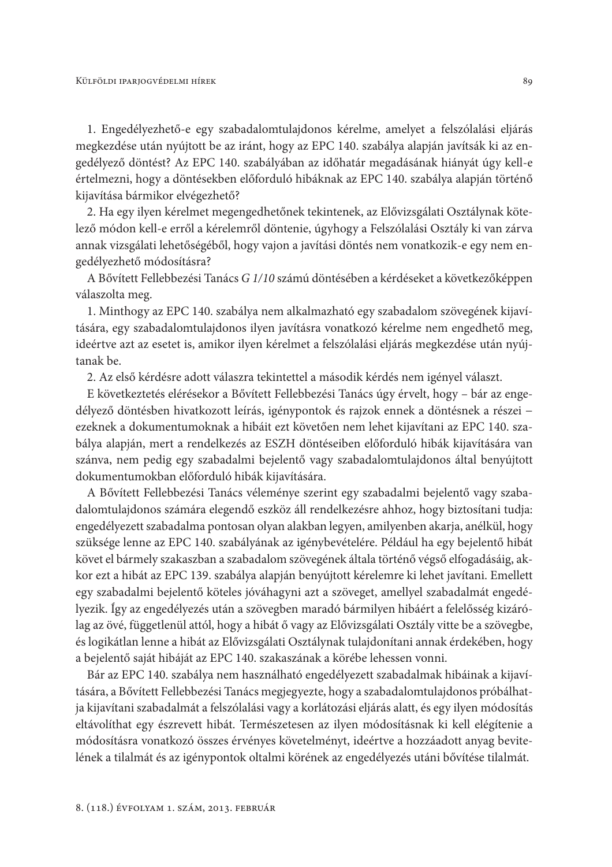1. Engedélyezhető-e egy szabadalomtulajdonos kérelme, amelyet a felszólalási eljárás megkezdése után nyújtott be az iránt, hogy az EPC 140. szabálya alapján javítsák ki az engedélyező döntést? Az EPC 140. szabályában az időhatár megadásának hiányát úgy kell-e értelmezni, hogy a döntésekben előforduló hibáknak az EPC 140. szabálya alapján történő kijavítása bármikor elvégezhető?

2. Ha egy ilyen kérelmet megengedhetőnek tekintenek, az Elővizsgálati Osztálynak kötelező módon kell-e erről a kérelemről döntenie, úgyhogy a Felszólalási Osztály ki van zárva annak vizsgálati lehetőségéből, hogy vajon a javítási döntés nem vonatkozik-e egy nem engedélyezhető módosításra?

A Bővített Fellebbezési Tanács G 1/10 számú döntésében a kérdéseket a következőképpen válaszolta meg.

1. Minthogy az EPC 140. szabálya nem alkalmazható egy szabadalom szövegének kijavítására, egy szabadalomtulajdonos ilyen javításra vonatkozó kérelme nem engedhető meg, ideértve azt az esetet is, amikor ilyen kérelmet a felszólalási eljárás megkezdése után nyújtanak be.

2. Az első kérdésre adott válaszra tekintettel a második kérdés nem igényel választ.

E következtetés elérésekor a Bővített Fellebbezési Tanács úgy érvelt, hogy - bár az engedélyező döntésben hivatkozott leírás, igénypontok és rajzok ennek a döntésnek a részei – ezeknek a dokumentumoknak a hibáit ezt követően nem lehet kijavítani az EPC 140. szabálya alapján, mert a rendelkezés az ESZH döntéseiben előforduló hibák kijavítására van szánva, nem pedig egy szabadalmi bejelentő vagy szabadalomtulajdonos által benyújtott dokumentumokban előforduló hibák kijavítására.

A Bővített Fellebbezési Tanács véleménye szerint egy szabadalmi bejelentő vagy szabadalomtulajdonos számára elegendő eszköz áll rendelkezésre ahhoz, hogy biztosítani tudja: engedélyezett szabadalma pontosan olyan alakban legyen, amilyenben akarja, anélkül, hogy szüksége lenne az EPC 140. szabályának az igénybevételére. Például ha egy bejelentő hibát követ el bármely szakaszban a szabadalom szövegének általa történő végső elfogadásáig, akkor ezt a hibát az EPC 139. szabálya alapján benyújtott kérelemre ki lehet javítani. Emellett egy szabadalmi bejelentő köteles jóváhagyni azt a szöveget, amellyel szabadalmát engedélyezik. Így az engedélyezés után a szövegben maradó bármilyen hibáért a felelősség kizárólag az övé, függetlenül attól, hogy a hibát ő vagy az Elővizsgálati Osztály vitte be a szövegbe, és logikátlan lenne a hibát az Elővizsgálati Osztálynak tulajdonítani annak érdekében, hogy a bejelentő saját hibáját az EPC 140. szakaszának a körébe lehessen vonni.

Bár az EPC 140. szabálya nem használható engedélyezett szabadalmak hibáinak a kijavítására, a Bővített Fellebbezési Tanács megjegyezte, hogy a szabadalomtulajdonos próbálhatja kijavítani szabadalmát a felszólalási vagy a korlátozási eljárás alatt, és egy ilyen módosítás eltávolíthat egy észrevett hibát. Természetesen az ilyen módosításnak ki kell elégítenie a módosításra vonatkozó összes érvényes követelményt, ideértve a hozzáadott anyag bevitelének a tilalmát és az igénypontok oltalmi körének az engedélyezés utáni bővítése tilalmát.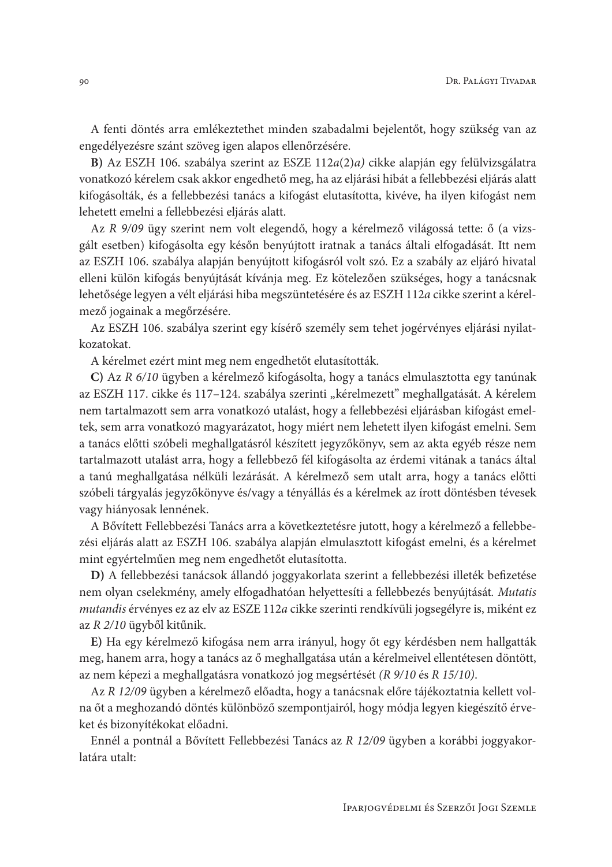A fenti döntés arra emlékeztethet minden szabadalmi bejelentőt, hogy szükség van az engedélyezésre szánt szöveg igen alapos ellenőrzésére.

B) Az ESZH 106. szabálya szerint az ESZE 112a(2)a) cikke alapján egy felülvizsgálatra vonatkozó kérelem csak akkor engedhető meg, ha az eljárási hibát a fellebbezési eljárás alatt kifogásolták, és a fellebbezési tanács a kifogást elutasította, kivéve, ha ilyen kifogást nem lehetett emelni a fellebbezési eljárás alatt.

Az R 9/09 ügy szerint nem volt elegendő, hogy a kérelmező világossá tette: ő (a vizsgált esetben) kifogásolta egy későn benyújtott iratnak a tanács általi elfogadását. Itt nem az ESZH 106. szabálya alapján benyújtott kifogásról volt szó. Ez a szabály az eljáró hivatal elleni külön kifogás benyújtását kívánja meg. Ez kötelezően szükséges, hogy a tanácsnak lehetősége legyen a vélt eljárási hiba megszüntetésére és az ESZH 112a cikke szerint a kérelmező jogainak a megőrzésére.

Az ESZH 106. szabálya szerint egy kísérő személy sem tehet jogérvényes eljárási nyilatkozatokat.

A kérelmet ezért mint meg nem engedhetőt elutasították.

C) Az R 6/10 ügyben a kérelmező kifogásolta, hogy a tanács elmulasztotta egy tanúnak az ESZH 117. cikke és 117-124. szabálya szerinti "kérelmezett" meghallgatását. A kérelem nem tartalmazott sem arra vonatkozó utalást, hogy a fellebbezési eljárásban kifogást emeltek, sem arra vonatkozó magyarázatot, hogy miért nem lehetett ilyen kifogást emelni. Sem a tanács előtti szóbeli meghallgatásról készített jegyzőkönyv, sem az akta egyéb része nem tartalmazott utalást arra, hogy a fellebbező fél kifogásolta az érdemi vitának a tanács által a tanú meghallgatása nélküli lezárását. A kérelmező sem utalt arra, hogy a tanács előtti szóbeli tárgyalás jegyzőkönyve és/vagy a tényállás és a kérelmek az írott döntésben tévesek vagy hiányosak lennének.

A Bővített Fellebbezési Tanács arra a következtetésre jutott, hogy a kérelmező a fellebbezési eljárás alatt az ESZH 106. szabálya alapján elmulasztott kifogást emelni, és a kérelmet mint egyértelműen meg nem engedhetőt elutasította.

D) A fellebbezési tanácsok állandó joggyakorlata szerint a fellebbezési illeték befizetése nem olyan cselekmény, amely elfogadhatóan helyettesíti a fellebbezés benyújtását. Mutatis mutandis érvényes ez az elv az ESZE 112a cikke szerinti rendkívüli jogsegélyre is, miként ez az R 2/10 ügyből kitűnik.

E) Ha egy kérelmező kifogása nem arra irányul, hogy őt egy kérdésben nem hallgatták meg, hanem arra, hogy a tanács az ő meghallgatása után a kérelmeivel ellentétesen döntött, az nem képezi a meghallgatásra vonatkozó jog megsértését (R 9/10 és R 15/10).

Az R 12/09 ügyben a kérelmező előadta, hogy a tanácsnak előre tájékoztatnia kellett volna őt a meghozandó döntés különböző szempontjairól, hogy módja legyen kiegészítő érveket és bizonyítékokat előadni.

Ennél a pontnál a Bővített Fellebbezési Tanács az R 12/09 ügyben a korábbi joggyakorlatára utalt: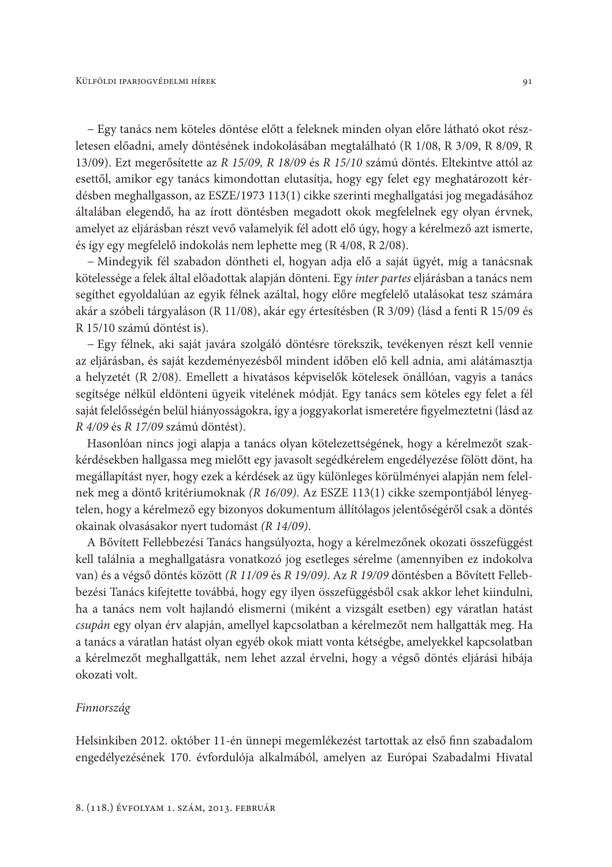- Egy tanács nem köteles döntése előtt a feleknek minden olyan előre látható okot részletesen előadni, amely döntésének indokolásában megtalálható (R 1/08, R 3/09, R 8/09, R 13/09). Ezt megerősítette az R 15/09, R 18/09 és R 15/10 számú döntés. Eltekintve attól az esettől, amikor egy tanács kimondottan elutasítja, hogy egy felet egy meghatározott kérdésben meghallgasson, az ESZE/1973 113(1) cikke szerinti meghallgatási jog megadásához általában elegendő, ha az írott döntésben megadott okok megfelelnek egy olyan érvnek, amelyet az eljárásban részt vevő valamelyik fél adott elő úgy, hogy a kérelmező azt ismerte, és így egy megfelelő indokolás nem lephette meg (R 4/08, R 2/08).

- Mindegyik fél szabadon döntheti el, hogyan adja elő a saját ügyét, míg a tanácsnak kötelessége a felek által előadottak alapján dönteni. Egy inter partes eljárásban a tanács nem segíthet egyoldalúan az egyik félnek azáltal, hogy előre megfelelő utalásokat tesz számára akár a szóbeli tárgyaláson (R 11/08), akár egy értesítésben (R 3/09) (lásd a fenti R 15/09 és R 15/10 számú döntést is).

- Egy félnek, aki saját javára szolgáló döntésre törekszik, tevékenyen részt kell vennie az eljárásban, és saját kezdeményezésből mindent időben elő kell adnia, ami alátámasztja a helyzetét (R 2/08). Emellett a hivatásos képviselők kötelesek önállóan, vagyis a tanács segítsége nélkül eldönteni ügyeik vitelének módját. Egy tanács sem köteles egy felet a fél saját felelősségén belül hiányosságokra, így a joggyakorlat ismeretére figyelmeztetni (lásd az R 4/09 és R 17/09 számú döntést).

Hasonlóan nincs jogi alapja a tanács olyan kötelezettségének, hogy a kérelmezőt szakkérdésekben hallgassa meg mielőtt egy javasolt segédkérelem engedélyezése fölött dönt, ha megállapítást nyer, hogy ezek a kérdések az ügy különleges körülményei alapján nem felelnek meg a döntő kritériumoknak (R 16/09). Az ESZE 113(1) cikke szempontjából lényegtelen, hogy a kérelmező egy bizonyos dokumentum állítólagos jelentőségéről csak a döntés okainak olvasásakor nyert tudomást (R 14/09).

A Bővített Fellebbezési Tanács hangsúlyozta, hogy a kérelmezőnek okozati összefüggést kell találnia a meghallgatásra vonatkozó jog esetleges sérelme (amennyiben ez indokolva van) és a végső döntés között (R 11/09 és R 19/09). Az R 19/09 döntésben a Bővített Fellebbezési Tanács kifejtette továbbá, hogy egy ilyen összefüggésből csak akkor lehet kiindulni, ha a tanács nem volt hajlandó elismerni (miként a vizsgált esetben) egy váratlan hatást csupán egy olyan érv alapján, amellyel kapcsolatban a kérelmezőt nem hallgatták meg. Ha a tanács a váratlan hatást olyan egyéb okok miatt vonta kétségbe, amelyekkel kapcsolatban a kérelmezőt meghallgatták, nem lehet azzal érvelni, hogy a végső döntés eljárási hibája okozati volt.

#### Finnország

Helsinkiben 2012. október 11-én ünnepi megemlékezést tartottak az első finn szabadalom engedélyezésének 170. évfordulója alkalmából, amelyen az Európai Szabadalmi Hivatal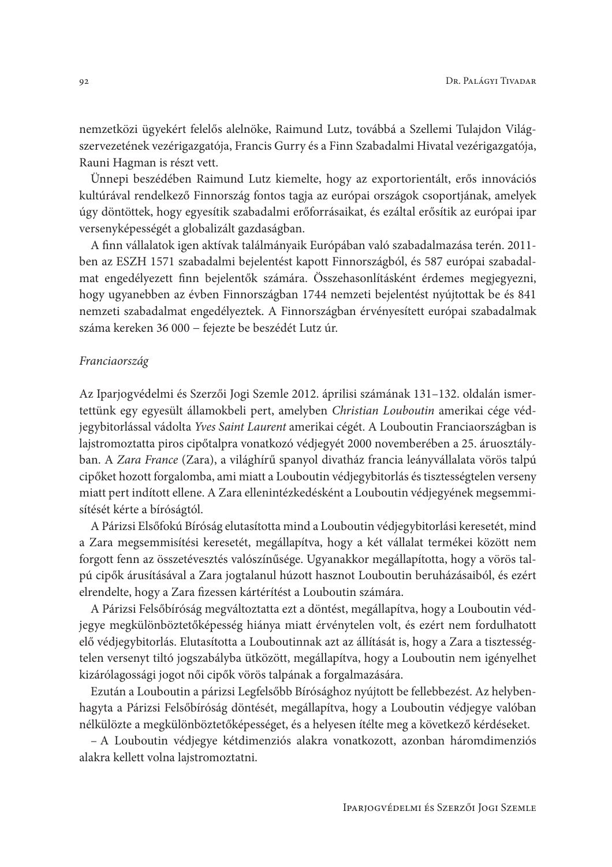nemzetközi ügyekért felelős alelnöke, Raimund Lutz, továbbá a Szellemi Tulajdon Világszervezetének vezérigazgatója, Francis Gurry és a Finn Szabadalmi Hivatal vezérigazgatója, Rauni Hagman is részt vett.

Ünnepi beszédében Raimund Lutz kiemelte, hogy az exportorientált, erős innovációs kultúrával rendelkező Finnország fontos tagja az európai országok csoportjának, amelyek úgy döntöttek, hogy egyesítik szabadalmi erőforrásaikat, és ezáltal erősítik az európai ipar versenyképességét a globalizált gazdaságban.

A finn vállalatok igen aktívak találmányaik Európában való szabadalmazása terén. 2011ben az ESZH 1571 szabadalmi bejelentést kapott Finnországból, és 587 európai szabadalmat engedélyezett finn bejelentők számára. Összehasonlításként érdemes megjegyezni, hogy ugyanebben az évben Finnországban 1744 nemzeti bejelentést nyújtottak be és 841 nemzeti szabadalmat engedélyeztek. A Finnországban érvényesített európai szabadalmak száma kereken 36 000 – fejezte be beszédét Lutz úr.

#### Franciaország

Az Iparjogvédelmi és Szerzői Jogi Szemle 2012. áprilisi számának 131–132. oldalán ismertettünk egy egyesült államokbeli pert, amelyben Christian Louboutin amerikai cége védjegybitorlással vádolta Yves Saint Laurent amerikai cégét. A Louboutin Franciaországban is lajstromoztatta piros cipőtalpra vonatkozó védjegyét 2000 novemberében a 25. áruosztályban. A Zara France (Zara), a világhírű spanyol divatház francia leányvállalata vörös talpú cipőket hozott forgalomba, ami miatt a Louboutin védjegybitorlás és tisztességtelen verseny miatt pert indított ellene. A Zara ellenintézkedésként a Louboutin védjegyének megsemmisítését kérte a bíróságtól.

A Párizsi Elsőfokú Bíróság elutasította mind a Louboutin védjegybitorlási keresetét, mind a Zara megsemmisítési keresetét, megállapítva, hogy a két vállalat termékei között nem forgott fenn az összetévesztés valószínűsége. Ugyanakkor megállapította, hogy a vörös talpú cipők árusításával a Zara jogtalanul húzott hasznot Louboutin beruházásaiból, és ezért elrendelte, hogy a Zara fizessen kártérítést a Louboutin számára.

A Párizsi Felsőbíróság megváltoztatta ezt a döntést, megállapítva, hogy a Louboutin védjegye megkülönböztetőképesség hiánya miatt érvénytelen volt, és ezért nem fordulhatott elő védjegybitorlás. Elutasította a Louboutinnak azt az állítását is, hogy a Zara a tisztességtelen versenyt tiltó jogszabályba ütközött, megállapítva, hogy a Louboutin nem igényelhet kizárólagossági jogot női cipők vörös talpának a forgalmazására.

Ezután a Louboutin a párizsi Legfelsőbb Bírósághoz nyújtott be fellebbezést. Az helybenhagyta a Párizsi Felsőbíróság döntését, megállapítva, hogy a Louboutin védjegye valóban nélkülözte a megkülönböztetőképességet, és a helyesen ítélte meg a következő kérdéseket.

- A Louboutin védjegye kétdimenziós alakra vonatkozott, azonban háromdimenziós alakra kellett volna lajstromoztatni.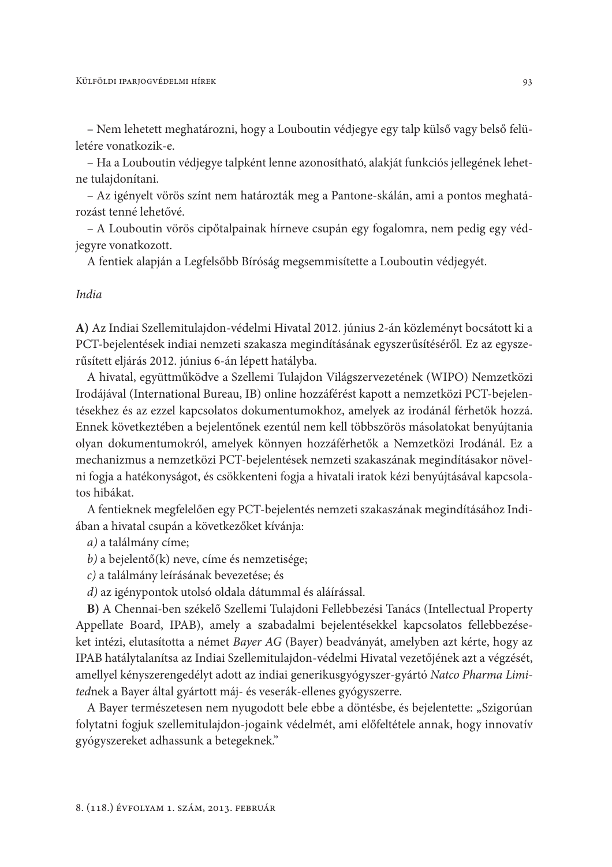- Nem lehetett meghatározni, hogy a Louboutin védjegye egy talp külső vagy belső felületére vonatkozik-e.

- Ha a Louboutin védjegye talpként lenne azonosítható, alakját funkciós jellegének lehetne tulajdonítani.

- Az igényelt vörös színt nem határozták meg a Pantone-skálán, ami a pontos meghatározást tenné lehetővé.

- A Louboutin vörös cipőtalpainak hírneve csupán egy fogalomra, nem pedig egy védjegyre vonatkozott.

A fentiek alapján a Legfelsőbb Bíróság megsemmisítette a Louboutin védjegyét.

### India

A) Az Indiai Szellemitulajdon-védelmi Hivatal 2012. június 2-án közleményt bocsátott ki a PCT-bejelentések indiai nemzeti szakasza megindításának egyszerűsítéséről. Ez az egyszerűsített eljárás 2012. június 6-án lépett hatályba.

A hivatal, együttműködve a Szellemi Tulajdon Világszervezetének (WIPO) Nemzetközi Irodájával (International Bureau, IB) online hozzáférést kapott a nemzetközi PCT-bejelentésekhez és az ezzel kapcsolatos dokumentumokhoz, amelyek az irodánál férhetők hozzá. Ennek következtében a bejelentőnek ezentúl nem kell többszörös másolatokat benyújtania olyan dokumentumokról, amelyek könnyen hozzáférhetők a Nemzetközi Irodánál. Ez a mechanizmus a nemzetközi PCT-bejelentések nemzeti szakaszának megindításakor növelni fogja a hatékonyságot, és csökkenteni fogja a hivatali iratok kézi benyújtásával kapcsolatos hibákat.

A fentieknek megfelelően egy PCT-bejelentés nemzeti szakaszának megindításához Indiában a hivatal csupán a következőket kívánja:

a) a találmány címe;

- $b$ ) a bejelentő(k) neve, címe és nemzetisége;
- c) a találmány leírásának bevezetése; és

d) az igénypontok utolsó oldala dátummal és aláírással.

B) A Chennai-ben székelő Szellemi Tulajdoni Fellebbezési Tanács (Intellectual Property Appellate Board, IPAB), amely a szabadalmi bejelentésekkel kapcsolatos fellebbezéseket intézi, elutasította a német Bayer AG (Bayer) beadványát, amelyben azt kérte, hogy az IPAB hatálytalanítsa az Indiai Szellemitulajdon-védelmi Hivatal vezetőjének azt a végzését, amellyel kényszerengedélyt adott az indiai generikusgyógyszer-gyártó Natco Pharma Limitednek a Bayer által gyártott máj- és veserák-ellenes gyógyszerre.

A Bayer természetesen nem nyugodott bele ebbe a döntésbe, és bejelentette: "Szigorúan folytatni fogjuk szellemitulajdon-jogaink védelmét, ami előfeltétele annak, hogy innovatív gyógyszereket adhassunk a betegeknek."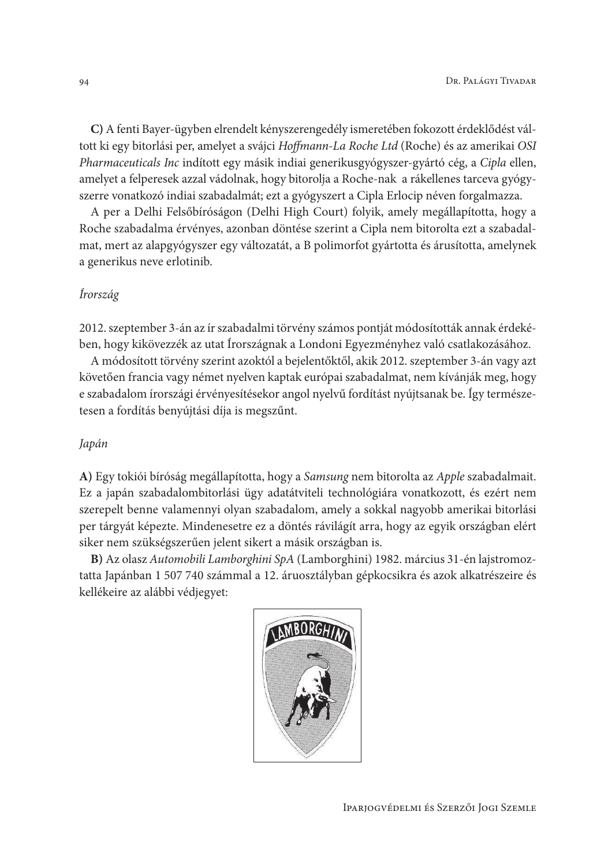C) A fenti Bayer-ügyben elrendelt kényszerengedély ismeretében fokozott érdeklődést váltott ki egy bitorlási per, amelyet a svájci Hoffmann-La Roche Ltd (Roche) és az amerikai OSI Pharmaceuticals Inc indított egy másik indiai generikusgyógyszer-gyártó cég, a Cipla ellen, amelyet a felperesek azzal vádolnak, hogy bitorolja a Roche-nak a rákellenes tarceva gyógyszerre vonatkozó indiai szabadalmát; ezt a gyógyszert a Cipla Erlocip néven forgalmazza.

A per a Delhi Felsőbíróságon (Delhi High Court) folyik, amely megállapította, hogy a Roche szabadalma érvényes, azonban döntése szerint a Cipla nem bitorolta ezt a szabadalmat, mert az alapgyógyszer egy változatát, a B polimorfot gyártotta és árusította, amelynek a generikus neve erlotinib.

## Írország

2012. szeptember 3-án az ír szabadalmi törvény számos pontját módosították annak érdekében, hogy kikövezzék az utat Írországnak a Londoni Egyezményhez való csatlakozásához.

A módosított törvény szerint azoktól a bejelentőktől, akik 2012. szeptember 3-án vagy azt követően francia vagy német nyelven kaptak európai szabadalmat, nem kívánják meg, hogy e szabadalom írországi érvényesítésekor angol nyelvű fordítást nyújtsanak be. Így természetesen a fordítás benyújtási díja is megszűnt.

### Japán

A) Egy tokiói bíróság megállapította, hogy a Samsung nem bitorolta az Apple szabadalmait. Ez a japán szabadalombitorlási ügy adatátviteli technológiára vonatkozott, és ezért nem szerepelt benne valamennyi olyan szabadalom, amely a sokkal nagyobb amerikai bitorlási per tárgyát képezte. Mindenesetre ez a döntés rávilágít arra, hogy az egyik országban elért siker nem szükségszerűen jelent sikert a másik országban is.

B) Az olasz Automobili Lamborghini SpA (Lamborghini) 1982. március 31-én lajstromoztatta Japánban 1 507 740 számmal a 12. áruosztályban gépkocsikra és azok alkatrészeire és kellékeire az alábbi védjegyet:

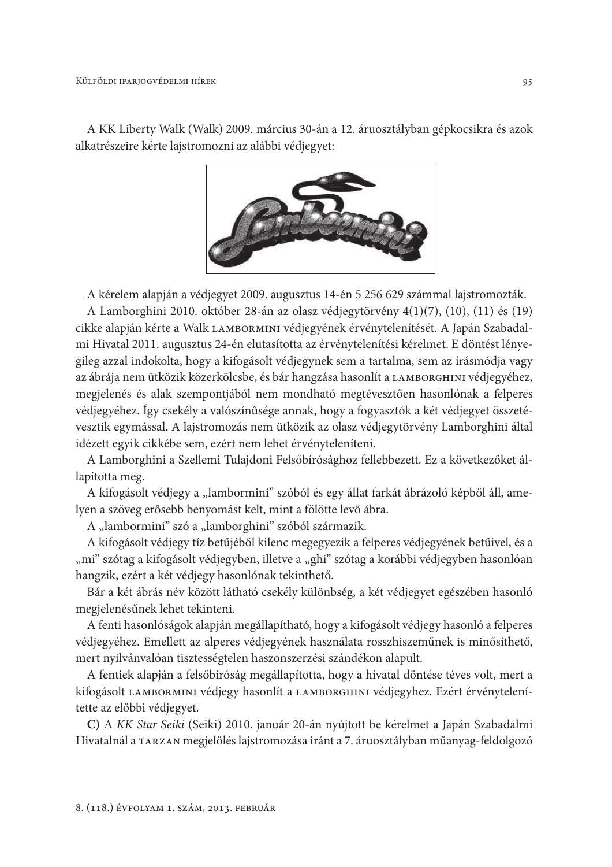A KK Liberty Walk (Walk) 2009. március 30-án a 12. áruosztályban gépkocsikra és azok alkatrészeire kérte lajstromozni az alábbi védjegyet:



A kérelem alapján a védjegyet 2009. augusztus 14-én 5 256 629 számmal lajstromozták.

A Lamborghini 2010. október 28-án az olasz védjegytörvény 4(1)(7), (10), (11) és (19) cikke alapján kérte a Walk LAMBORMINI védjegyének érvénytelenítését. A Japán Szabadalmi Hivatal 2011. augusztus 24-én elutasította az érvénytelenítési kérelmet. E döntést lényegileg azzal indokolta, hogy a kifogásolt védjegynek sem a tartalma, sem az írásmódja vagy az ábrája nem ütközik közerkölcsbe, és bár hangzása hasonlít a LAMBORGHINI védjegyéhez, megjelenés és alak szempontjából nem mondható megtévesztően hasonlónak a felperes védjegyéhez. Így csekély a valószínűsége annak, hogy a fogyasztók a két védjegyet összetévesztik egymással. A lajstromozás nem ütközik az olasz védjegytörvény Lamborghini által idézett egyik cikkébe sem, ezért nem lehet érvényteleníteni.

A Lamborghini a Szellemi Tulajdoni Felsőbírósághoz fellebbezett. Ez a következőket állapította meg.

A kifogásolt védjegy a "lambormini" szóból és egy állat farkát ábrázoló képből áll, amelyen a szöveg erősebb benyomást kelt, mint a fölötte levő ábra.

A "lambormini" szó a "lamborghini" szóból származik.

A kifogásolt védjegy tíz betűjéből kilenc megegyezik a felperes védjegyének betűivel, és a "mi" szótag a kifogásolt védjegyben, illetve a "ghi" szótag a korábbi védjegyben hasonlóan hangzik, ezért a két védjegy hasonlónak tekinthető.

Bár a két ábrás név között látható csekély különbség, a két védjegyet egészében hasonló megjelenésűnek lehet tekinteni.

A fenti hasonlóságok alapján megállapítható, hogy a kifogásolt védjegy hasonló a felperes védjegyéhez. Emellett az alperes védjegyének használata rosszhiszeműnek is minősíthető, mert nyilvánvalóan tisztességtelen haszonszerzési szándékon alapult.

A fentiek alapján a felsőbíróság megállapította, hogy a hivatal döntése téves volt, mert a kifogásolt LAMBORMINI védjegy hasonlít a LAMBORGHINI védjegyhez. Ezért érvénytelenítette az előbbi védjegyet.

C) A KK Star Seiki (Seiki) 2010. január 20-án nyújtott be kérelmet a Japán Szabadalmi Hivatalnál a TARZAN megjelölés lajstromozása iránt a 7. áruosztályban műanyag-feldolgozó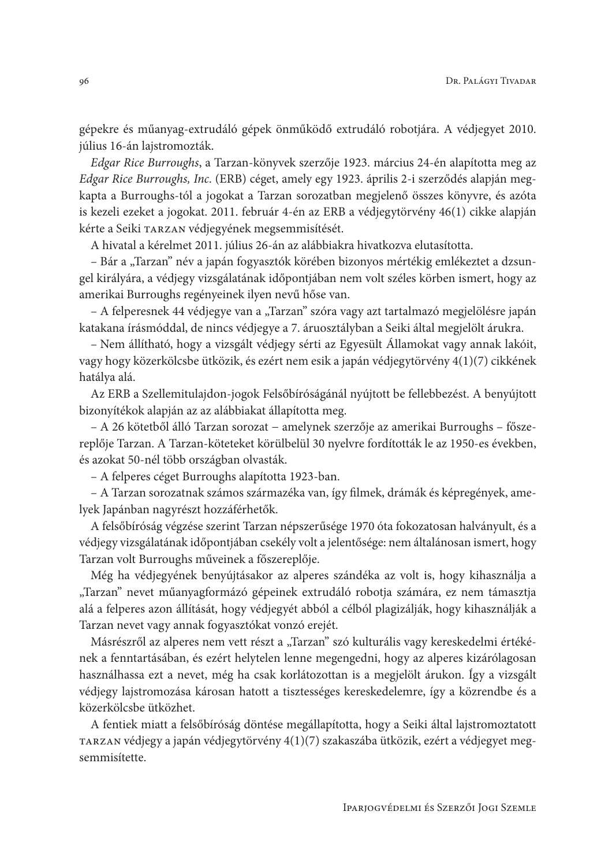gépekre és műanyag-extrudáló gépek önműködő extrudáló robotjára. A védjegyet 2010. július 16-án lajstromozták.

Edgar Rice Burroughs, a Tarzan-könyvek szerzője 1923. március 24-én alapította meg az Edgar Rice Burroughs, Inc. (ERB) céget, amely egy 1923. április 2-i szerződés alapján megkapta a Burroughs-tól a jogokat a Tarzan sorozatban megjelenő összes könyvre, és azóta is kezeli ezeket a jogokat. 2011. február 4-én az ERB a védjegytörvény 46(1) cikke alapján kérte a Seiki TARZAN védjegyének megsemmisítését.

A hivatal a kérelmet 2011. július 26-án az alábbiakra hivatkozva elutasította.

- Bár a "Tarzan" név a japán fogyasztók körében bizonyos mértékig emlékeztet a dzsungel királyára, a védjegy vizsgálatának időpontjában nem volt széles körben ismert, hogy az amerikai Burroughs regényeinek ilyen nevű hőse van.

- A felperesnek 44 védjegye van a "Tarzan" szóra vagy azt tartalmazó megjelölésre japán katakana írásmóddal, de nincs védjegye a 7. áruosztályban a Seiki által megjelölt árukra.

- Nem állítható, hogy a vizsgált védjegy sérti az Egyesült Államokat vagy annak lakóit, vagy hogy közerkölcsbe ütközik, és ezért nem esik a japán védjegytörvény 4(1)(7) cikkének hatálya alá.

Az ERB a Szellemitulajdon-jogok Felsőbíróságánál nyújtott be fellebbezést. A benyújtott bizonyítékok alapján az az alábbiakat állapította meg.

- A 26 kötetből álló Tarzan sorozat - amelynek szerzője az amerikai Burroughs - főszereplője Tarzan. A Tarzan-köteteket körülbelül 30 nyelvre fordították le az 1950-es években, és azokat 50-nél több országban olvasták.

- A felperes céget Burroughs alapította 1923-ban.

- A Tarzan sorozatnak számos származéka van, így filmek, drámák és képregények, amelyek Japánban nagyrészt hozzáférhetők.

A felsőbíróság végzése szerint Tarzan népszerűsége 1970 óta fokozatosan halványult, és a védjegy vizsgálatának időpontjában csekély volt a jelentősége: nem általánosan ismert, hogy Tarzan volt Burroughs műveinek a főszereplője.

Még ha védjegyének benyújtásakor az alperes szándéka az volt is, hogy kihasználja a "Tarzan" nevet műanyagformázó gépeinek extrudáló robotja számára, ez nem támasztja alá a felperes azon állítását, hogy védjegyét abból a célból plagizálják, hogy kihasználják a Tarzan nevet vagy annak fogyasztókat vonzó erejét.

Másrészről az alperes nem vett részt a "Tarzan" szó kulturális vagy kereskedelmi értékének a fenntartásában, és ezért helytelen lenne megengedni, hogy az alperes kizárólagosan használhassa ezt a nevet, még ha csak korlátozottan is a megjelölt árukon. Így a vizsgált védjegy lajstromozása károsan hatott a tisztességes kereskedelemre, így a közrendbe és a közerkölcsbe ütközhet.

A fentiek miatt a felsőbíróság döntése megállapította, hogy a Seiki által lajstromoztatott TARZAN védjegy a japán védjegytörvény 4(1)(7) szakaszába ütközik, ezért a védjegyet megsemmisítette.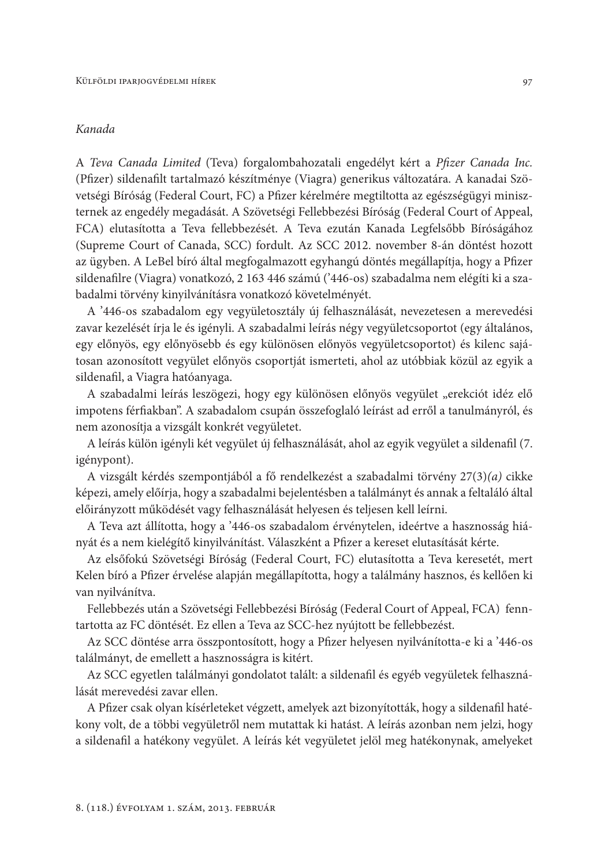# Kanada

A Teva Canada Limited (Teva) forgalombahozatali engedélyt kért a Pfizer Canada Inc. (Pfizer) sildenafilt tartalmazó készítménye (Viagra) generikus változatára. A kanadai Szövetségi Bíróság (Federal Court, FC) a Pfizer kérelmére megtiltotta az egészségügyi miniszternek az engedély megadását. A Szövetségi Fellebbezési Bíróság (Federal Court of Appeal, FCA) elutasította a Teva fellebbezését. A Teva ezután Kanada Legfelsőbb Bíróságához (Supreme Court of Canada, SCC) fordult. Az SCC 2012. november 8-án döntést hozott az ügyben. A LeBel bíró által megfogalmazott egyhangú döntés megállapítja, hogy a Pfizer sildenafilre (Viagra) vonatkozó, 2 163 446 számú ('446-os) szabadalma nem elégíti ki a szabadalmi törvény kinyilvánításra vonatkozó követelményét.

A '446-os szabadalom egy vegyületosztály új felhasználását, nevezetesen a merevedési zavar kezelését írja le és igényli. A szabadalmi leírás négy vegyületcsoportot (egy általános, egy előnyös, egy előnyösebb és egy különösen előnyös vegyületcsoportot) és kilenc sajátosan azonosított vegyület előnyös csoportját ismerteti, ahol az utóbbiak közül az egyik a sildenafil, a Viagra hatóanyaga.

A szabadalmi leírás leszögezi, hogy egy különösen előnyös vegyület "erekciót idéz elő impotens férfiakban". A szabadalom csupán összefoglaló leírást ad erről a tanulmányról, és nem azonosítja a vizsgált konkrét vegyületet.

A leírás külön igényli két vegyület új felhasználását, ahol az egyik vegyület a sildenafil (7. igénypont).

A vizsgált kérdés szempontjából a fő rendelkezést a szabadalmi törvény 27(3)(a) cikke képezi, amely előírja, hogy a szabadalmi bejelentésben a találmányt és annak a feltaláló által előirányzott működését vagy felhasználását helyesen és teljesen kell leírni.

A Teva azt állította, hogy a '446-os szabadalom érvénytelen, ideértve a hasznosság hiányát és a nem kielégítő kinyilvánítást. Válaszként a Pfizer a kereset elutasítását kérte.

Az elsőfokú Szövetségi Bíróság (Federal Court, FC) elutasította a Teva keresetét, mert Kelen bíró a Pfizer érvelése alapján megállapította, hogy a találmány hasznos, és kellően ki van nvilvánítva.

Fellebbezés után a Szövetségi Fellebbezési Bíróság (Federal Court of Appeal, FCA) fenntartotta az FC döntését. Ez ellen a Teva az SCC-hez nyújtott be fellebbezést.

Az SCC döntése arra összpontosított, hogy a Pfizer helyesen nyilvánította-e ki a '446-os találmányt, de emellett a hasznosságra is kitért.

Az SCC egyetlen találmányi gondolatot talált: a sildenafil és egyéb vegyületek felhasználását merevedési zavar ellen.

A Pfizer csak olyan kísérleteket végzett, amelyek azt bizonyították, hogy a sildenafil hatékony volt, de a többi vegyületről nem mutattak ki hatást. A leírás azonban nem jelzi, hogy a sildenafil a hatékony vegyület. A leírás két vegyületet jelöl meg hatékonynak, amelyeket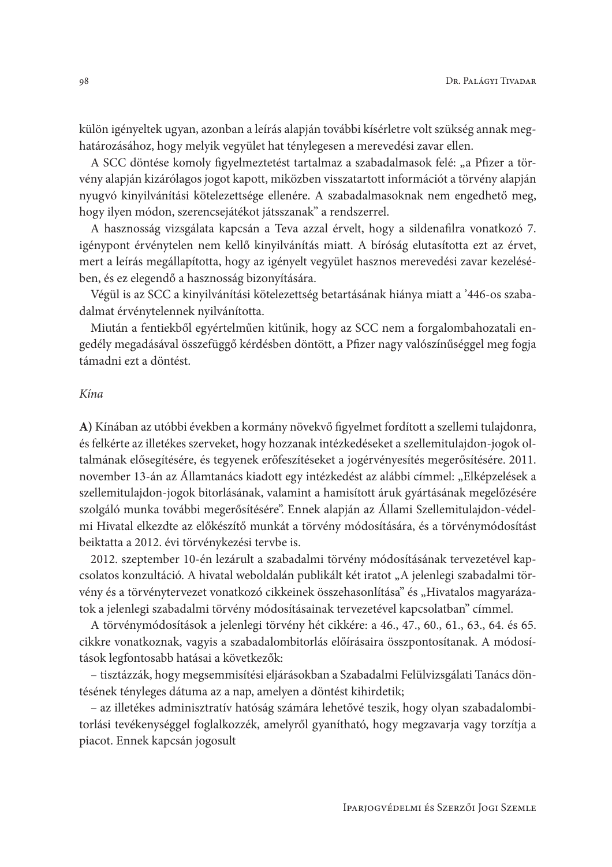külön igényeltek ugyan, azonban a leírás alapján további kísérletre volt szükség annak meghatározásához, hogy melyik vegyület hat ténylegesen a merevedési zavar ellen.

A SCC döntése komoly figyelmeztetést tartalmaz a szabadalmasok felé: "a Pfizer a törvény alapján kizárólagos jogot kapott, miközben visszatartott információt a törvény alapján nyugvó kinyilvánítási kötelezettsége ellenére. A szabadalmasoknak nem engedhető meg, hogy ilyen módon, szerencsejátékot játsszanak" a rendszerrel.

A hasznosság vizsgálata kapcsán a Teva azzal érvelt, hogy a sildenafilra vonatkozó 7. igénypont érvénytelen nem kellő kinyilvánítás miatt. A bíróság elutasította ezt az érvet, mert a leírás megállapította, hogy az igényelt vegyület hasznos merevedési zavar kezelésében, és ez elegendő a hasznosság bizonyítására.

Végül is az SCC a kinyilvánítási kötelezettség betartásának hiánya miatt a '446-os szabadalmat érvénytelennek nyilvánította.

Miután a fentiekből egyértelműen kitűnik, hogy az SCC nem a forgalombahozatali engedély megadásával összefüggő kérdésben döntött, a Pfizer nagy valószínűséggel meg fogja támadni ezt a döntést.

#### $K$ ina

A) Kínában az utóbbi években a kormány növekvő figyelmet fordított a szellemi tulajdonra, és felkérte az illetékes szerveket, hogy hozzanak intézkedéseket a szellemitulajdon-jogok oltalmának elősegítésére, és tegyenek erőfeszítéseket a jogérvényesítés megerősítésére. 2011. november 13-án az Államtanács kiadott egy intézkedést az alábbi címmel: "Elképzelések a szellemitulajdon-jogok bitorlásának, valamint a hamisított áruk gyártásának megelőzésére szolgáló munka további megerősítésére". Ennek alapján az Állami Szellemitulajdon-védelmi Hivatal elkezdte az előkészítő munkát a törvény módosítására, és a törvénymódosítást beiktatta a 2012. évi törvénykezési tervbe is.

2012. szeptember 10-én lezárult a szabadalmi törvény módosításának tervezetével kapcsolatos konzultáció. A hivatal weboldalán publikált két iratot "A jelenlegi szabadalmi törvény és a törvénytervezet vonatkozó cikkeinek összehasonlítása" és "Hivatalos magyarázatok a jelenlegi szabadalmi törvény módosításainak tervezetével kapcsolatban" címmel.

A törvénymódosítások a jelenlegi törvény hét cikkére: a 46., 47., 60., 61., 63., 64. és 65. cikkre vonatkoznak, vagyis a szabadalombitorlás előírásaira összpontosítanak. A módosítások legfontosabb hatásai a következők:

- tisztázzák, hogy megsemmisítési eljárásokban a Szabadalmi Felülvizsgálati Tanács döntésének tényleges dátuma az a nap, amelyen a döntést kihirdetik;

- az illetékes adminisztratív hatóság számára lehetővé teszik, hogy olyan szabadalombitorlási tevékenységgel foglalkozzék, amelyről gyanítható, hogy megzavarja vagy torzítja a piacot. Ennek kapcsán jogosult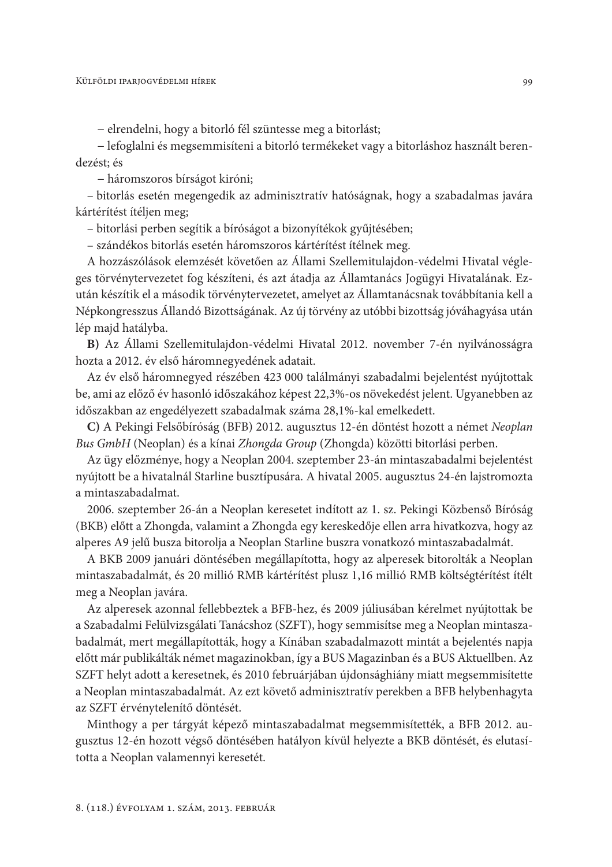- elrendelni, hogy a bitorló fél szüntesse meg a bitorlást;

- lefoglalni és megsemmisíteni a bitorló termékeket vagy a bitorláshoz használt berendezést; és

- háromszoros bírságot kiróni;

- bitorlás esetén megengedik az adminisztratív hatóságnak, hogy a szabadalmas javára kártérítést ítéljen meg;

- bitorlási perben segítik a bíróságot a bizonyítékok gyűjtésében;

- szándékos bitorlás esetén háromszoros kártérítést ítélnek meg.

A hozzászólások elemzését követően az Állami Szellemitulajdon-védelmi Hivatal végleges törvénytervezetet fog készíteni, és azt átadja az Államtanács Jogügyi Hivatalának. Ezután készítik el a második törvénytervezetet, amelyet az Államtanácsnak továbbítania kell a Népkongresszus Állandó Bizottságának. Az új törvény az utóbbi bizottság jóváhagyása után lép majd hatályba.

B) Az Állami Szellemitulajdon-védelmi Hivatal 2012. november 7-én nyilvánosságra hozta a 2012. év első háromnegyedének adatait.

Az év első háromnegyed részében 423 000 találmányi szabadalmi bejelentést nyújtottak be, ami az előző év hasonló időszakához képest 22,3%-os növekedést jelent. Ugyanebben az időszakban az engedélyezett szabadalmak száma 28,1%-kal emelkedett.

C) A Pekingi Felsőbíróság (BFB) 2012. augusztus 12-én döntést hozott a német Neoplan Bus GmbH (Neoplan) és a kínai Zhongda Group (Zhongda) közötti bitorlási perben.

Az ügy előzménye, hogy a Neoplan 2004. szeptember 23-án mintaszabadalmi bejelentést nyújtott be a hivatalnál Starline busztípusára. A hivatal 2005. augusztus 24-én lajstromozta a mintaszabadalmat.

2006. szeptember 26-án a Neoplan keresetet indított az 1. sz. Pekingi Közbenső Bíróság (BKB) előtt a Zhongda, valamint a Zhongda egy kereskedője ellen arra hivatkozva, hogy az alperes A9 jelű busza bitorolja a Neoplan Starline buszra vonatkozó mintaszabadalmát.

A BKB 2009 januári döntésében megállapította, hogy az alperesek bitorolták a Neoplan mintaszabadalmát, és 20 millió RMB kártérítést plusz 1,16 millió RMB költségtérítést ítélt meg a Neoplan javára.

Az alperesek azonnal fellebbeztek a BFB-hez, és 2009 júliusában kérelmet nyújtottak be a Szabadalmi Felülvizsgálati Tanácshoz (SZFT), hogy semmisítse meg a Neoplan mintaszabadalmát, mert megállapították, hogy a Kínában szabadalmazott mintát a bejelentés napja előtt már publikálták német magazinokban, így a BUS Magazinban és a BUS Aktuellben. Az SZFT helyt adott a keresetnek, és 2010 februárjában újdonsághiány miatt megsemmisítette a Neoplan mintaszabadalmát. Az ezt követő adminisztratív perekben a BFB helybenhagyta az SZFT érvénytelenítő döntését.

Minthogy a per tárgyát képező mintaszabadalmat megsemmisítették, a BFB 2012. augusztus 12-én hozott végső döntésében hatályon kívül helyezte a BKB döntését, és elutasította a Neoplan valamennyi keresetét.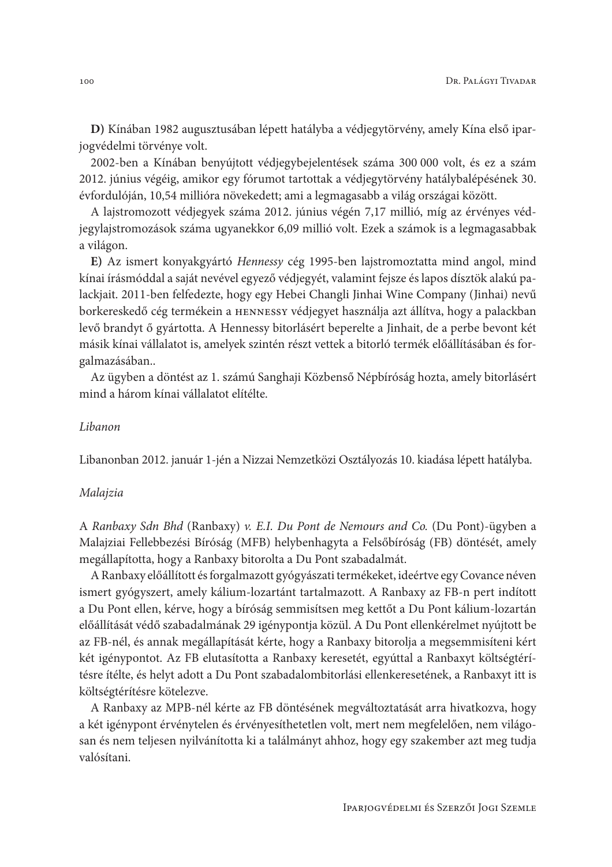D) Kínában 1982 augusztusában lépett hatályba a védjegytörvény, amely Kína első iparjogvédelmi törvénye volt.

2002-ben a Kínában benyújtott védjegybejelentések száma 300 000 volt, és ez a szám 2012. június végéig, amikor egy fórumot tartottak a védjegytörvény hatálybalépésének 30. évfordulóján, 10,54 millióra növekedett; ami a legmagasabb a világ országai között.

A lajstromozott védjegyek száma 2012. június végén 7,17 millió, míg az érvényes védjegylajstromozások száma ugyanekkor 6,09 millió volt. Ezek a számok is a legmagasabbak a világon.

E) Az ismert konyakgyártó Hennessy cég 1995-ben lajstromoztatta mind angol, mind kínai írásmóddal a saját nevével egyező védjegyét, valamint fejsze és lapos dísztök alakú palackjait. 2011-ben felfedezte, hogy egy Hebei Changli Jinhai Wine Company (Jinhai) nevű borkereskedő cég termékein a HENNESSY védjegyet használja azt állítva, hogy a palackban levő brandyt ő gyártotta. A Hennessy bitorlásért beperelte a Jinhait, de a perbe bevont két másik kínai vállalatot is, amelyek szintén részt vettek a bitorló termék előállításában és forgalmazásában..

Az ügyben a döntést az 1. számú Sanghaji Közbenső Népbíróság hozta, amely bitorlásért mind a három kínai vállalatot elítélte.

#### Libanon

Libanonban 2012. január 1-jén a Nizzai Nemzetközi Osztályozás 10. kiadása lépett hatályba.

#### Malajzia

A Ranbaxy Sdn Bhd (Ranbaxy) v. E.I. Du Pont de Nemours and Co. (Du Pont)-ügyben a Malajziai Fellebbezési Bíróság (MFB) helybenhagyta a Felsőbíróság (FB) döntését, amely megállapította, hogy a Ranbaxy bitorolta a Du Pont szabadalmát.

A Ranbaxy előállított és forgalmazott gyógyászati termékeket, ideértve egy Covance néven ismert gyógyszert, amely kálium-lozartánt tartalmazott. A Ranbaxy az FB-n pert indított a Du Pont ellen, kérve, hogy a bíróság semmisítsen meg kettőt a Du Pont kálium-lozartán előállítását védő szabadalmának 29 igénypontja közül. A Du Pont ellenkérelmet nyújtott be az FB-nél, és annak megállapítását kérte, hogy a Ranbaxy bitorolja a megsemmisíteni kért két igénypontot. Az FB elutasította a Ranbaxy keresetét, egyúttal a Ranbaxyt költségtérítésre ítélte, és helyt adott a Du Pont szabadalombitorlási ellenkeresetének, a Ranbaxyt itt is költségtérítésre kötelezve.

A Ranbaxy az MPB-nél kérte az FB döntésének megváltoztatását arra hivatkozva, hogy a két igénypont érvénytelen és érvényesíthetetlen volt, mert nem megfelelően, nem világosan és nem teljesen nyilvánította ki a találmányt ahhoz, hogy egy szakember azt meg tudja valósítani.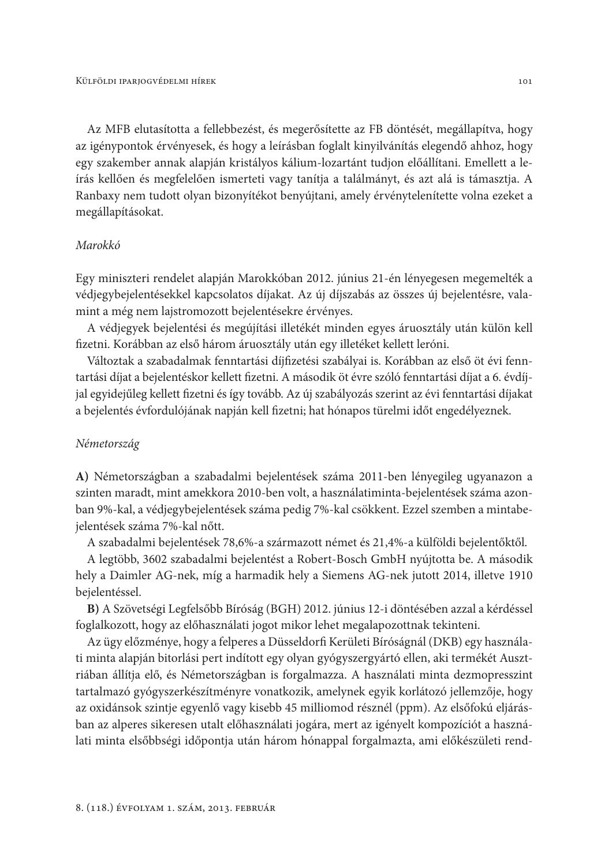Az MFB elutasította a fellebbezést, és megerősítette az FB döntését, megállapítva, hogy az igénypontok érvényesek, és hogy a leírásban foglalt kinyilvánítás elegendő ahhoz, hogy egy szakember annak alapján kristályos kálium-lozartánt tudjon előállítani. Emellett a leírás kellően és megfelelően ismerteti vagy tanítja a találmányt, és azt alá is támasztja. A Ranbaxy nem tudott olyan bizonyítékot benyújtani, amely érvénytelenítette volna ezeket a megállapításokat.

### Marokkó

Egy miniszteri rendelet alapján Marokkóban 2012. június 21-én lényegesen megemelték a védjegybejelentésekkel kapcsolatos díjakat. Az új díjszabás az összes új bejelentésre, valamint a még nem lajstromozott bejelentésekre érvényes.

A védjegyek bejelentési és megújítási illetékét minden egyes áruosztály után külön kell fizetni. Korábban az első három áruosztály után egy illetéket kellett leróni.

Változtak a szabadalmak fenntartási díjfizetési szabályai is. Korábban az első öt évi fenntartási díjat a bejelentéskor kellett fizetni. A második öt évre szóló fenntartási díjat a 6. évdíjjal egyidejűleg kellett fizetni és így tovább. Az új szabályozás szerint az évi fenntartási díjakat a bejelentés évfordulójának napján kell fizetni; hat hónapos türelmi időt engedélyeznek.

### Németország

A) Németországban a szabadalmi bejelentések száma 2011-ben lényegileg ugyanazon a szinten maradt, mint amekkora 2010-ben volt, a használatiminta-bejelentések száma azonban 9%-kal, a védjegybejelentések száma pedig 7%-kal csökkent. Ezzel szemben a mintabejelentések száma 7%-kal nőtt.

A szabadalmi bejelentések 78,6%-a származott német és 21,4%-a külföldi bejelentőktől.

A legtöbb, 3602 szabadalmi bejelentést a Robert-Bosch GmbH nyújtotta be. A második hely a Daimler AG-nek, míg a harmadik hely a Siemens AG-nek jutott 2014, illetve 1910 beielentéssel.

B) A Szövetségi Legfelsőbb Bíróság (BGH) 2012. június 12-i döntésében azzal a kérdéssel foglalkozott, hogy az előhasználati jogot mikor lehet megalapozottnak tekinteni.

Az ügy előzménye, hogy a felperes a Düsseldorfi Kerületi Bíróságnál (DKB) egy használati minta alapján bitorlási pert indított egy olyan gyógyszergyártó ellen, aki termékét Ausztriában állítja elő, és Németországban is forgalmazza. A használati minta dezmopresszint tartalmazó gyógyszerkészítményre vonatkozik, amelynek egyik korlátozó jellemzője, hogy az oxidánsok szintje egyenlő vagy kisebb 45 milliomod résznél (ppm). Az elsőfokú eljárásban az alperes sikeresen utalt előhasználati jogára, mert az igényelt kompozíciót a használati minta elsőbbségi időpontja után három hónappal forgalmazta, ami előkészületi rend-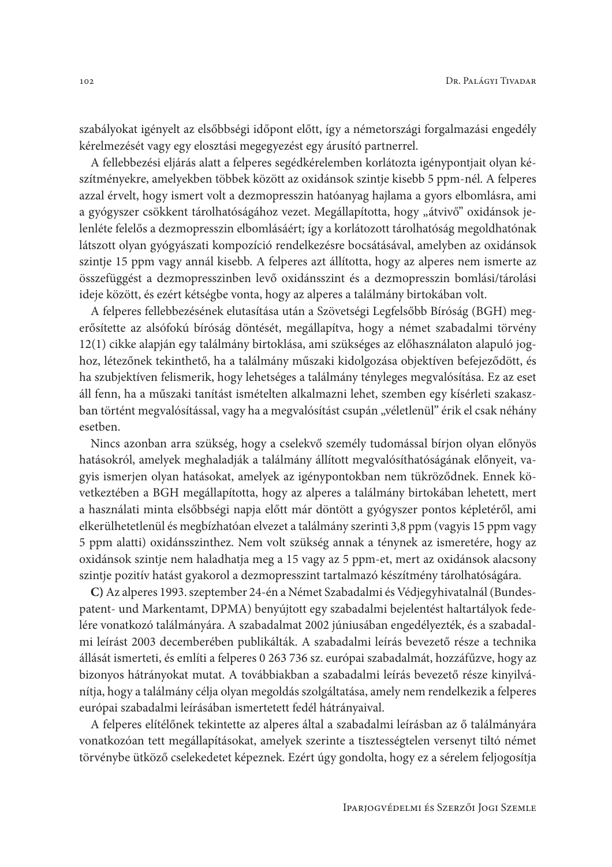szabályokat igényelt az elsőbbségi időpont előtt, így a németországi forgalmazási engedély kérelmezését vagy egy elosztási megegyezést egy árusító partnerrel.

A fellebbezési eljárás alatt a felperes segédkérelemben korlátozta igénypontjait olyan készítményekre, amelyekben többek között az oxidánsok szintje kisebb 5 ppm-nél. A felperes azzal érvelt, hogy ismert volt a dezmopresszin hatóanyag hajlama a gyors elbomlásra, ami a gyógyszer csökkent tárolhatóságához vezet. Megállapította, hogy "átvivő" oxidánsok jelenléte felelős a dezmopresszin elbomlásáért; így a korlátozott tárolhatóság megoldhatónak látszott olyan gyógyászati kompozíció rendelkezésre bocsátásával, amelyben az oxidánsok szintje 15 ppm vagy annál kisebb. A felperes azt állította, hogy az alperes nem ismerte az összefüggést a dezmopresszinben levő oxidánsszint és a dezmopresszin bomlási/tárolási ideje között, és ezért kétségbe vonta, hogy az alperes a találmány birtokában volt.

A felperes fellebbezésének elutasítása után a Szövetségi Legfelsőbb Bíróság (BGH) megerősítette az alsófokú bíróság döntését, megállapítva, hogy a német szabadalmi törvény 12(1) cikke alapján egy találmány birtoklása, ami szükséges az előhasználaton alapuló joghoz, létezőnek tekinthető, ha a találmány műszaki kidolgozása objektíven befejeződött, és ha szubjektíven felismerik, hogy lehetséges a találmány tényleges megvalósítása. Ez az eset áll fenn, ha a műszaki tanítást ismételten alkalmazni lehet, szemben egy kísérleti szakaszban történt megvalósítással, vagy ha a megvalósítást csupán "véletlenül" érik el csak néhány esetben.

Nincs azonban arra szükség, hogy a cselekvő személy tudomással bírjon olyan előnyös hatásokról, amelyek meghaladják a találmány állított megvalósíthatóságának előnyeit, vagyis ismerjen olyan hatásokat, amelyek az igénypontokban nem tükröződnek. Ennek következtében a BGH megállapította, hogy az alperes a találmány birtokában lehetett, mert a használati minta elsőbbségi napja előtt már döntött a gyógyszer pontos képletéről, ami elkerülhetetlenül és megbízhatóan elvezet a találmány szerinti 3,8 ppm (vagyis 15 ppm vagy 5 ppm alatti) oxidánsszinthez. Nem volt szükség annak a ténynek az ismeretére, hogy az oxidánsok szintje nem haladhatja meg a 15 vagy az 5 ppm-et, mert az oxidánsok alacsony szintje pozitív hatást gyakorol a dezmopresszint tartalmazó készítmény tárolhatóságára.

C) Az alperes 1993. szeptember 24-én a Német Szabadalmi és Védjegyhivatalnál (Bundespatent- und Markentamt, DPMA) benyújtott egy szabadalmi bejelentést haltartályok fedelére vonatkozó találmányára. A szabadalmat 2002 júniusában engedélyezték, és a szabadalmi leírást 2003 decemberében publikálták. A szabadalmi leírás bevezető része a technika állását ismerteti, és említi a felperes 0 263 736 sz. európai szabadalmát, hozzáfűzve, hogy az bizonyos hátrányokat mutat. A továbbiakban a szabadalmi leírás bevezető része kinyilvánítja, hogy a találmány célja olyan megoldás szolgáltatása, amely nem rendelkezik a felperes európai szabadalmi leírásában ismertetett fedél hátrányaival.

A felperes elítélőnek tekintette az alperes által a szabadalmi leírásban az ő találmányára vonatkozóan tett megállapításokat, amelyek szerinte a tisztességtelen versenyt tiltó német törvénybe ütköző cselekedetet képeznek. Ezért úgy gondolta, hogy ez a sérelem feljogosítja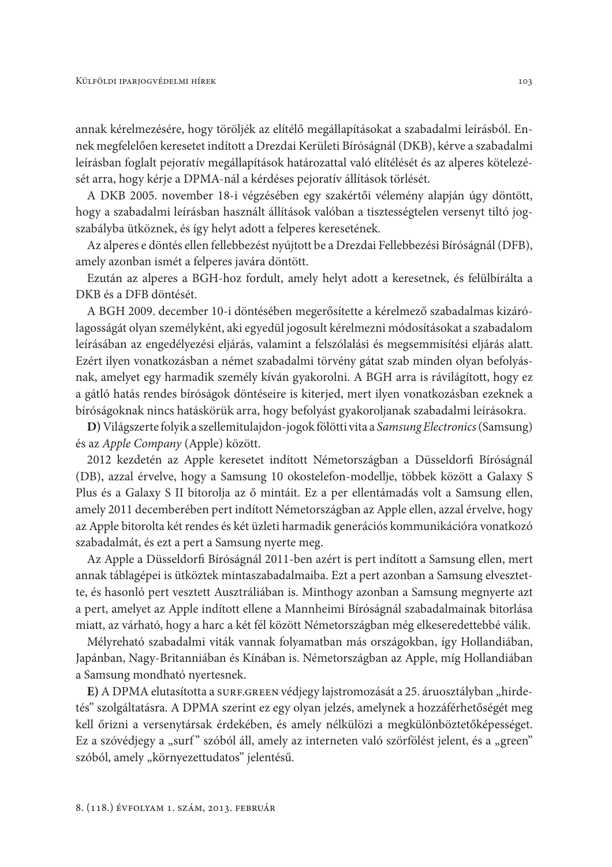annak kérelmezésére, hogy töröljék az elítélő megállapításokat a szabadalmi leírásból. Ennek megfelelően keresetet indított a Drezdai Kerületi Bíróságnál (DKB), kérve a szabadalmi leírásban foglalt pejoratív megállapítások határozattal való elítélését és az alperes kötelezését arra, hogy kérje a DPMA-nál a kérdéses pejoratív állítások törlését.

A DKB 2005. november 18-i végzésében egy szakértői vélemény alapján úgy döntött, hogy a szabadalmi leírásban használt állítások valóban a tisztességtelen versenyt tiltó jogszabályba ütköznek, és így helyt adott a felperes keresetének.

Az alperes e döntés ellen fellebbezést nyújtott be a Drezdai Fellebbezési Bíróságnál (DFB), amely azonban ismét a felperes javára döntött.

Ezután az alperes a BGH-hoz fordult, amely helyt adott a keresetnek, és felülbírálta a DKB és a DFB döntését.

A BGH 2009. december 10-i döntésében megerősítette a kérelmező szabadalmas kizárólagosságát olyan személyként, aki egyedül jogosult kérelmezni módosításokat a szabadalom leírásában az engedélyezési eljárás, valamint a felszólalási és megsemmisítési eljárás alatt. Ezért ilyen vonatkozásban a német szabadalmi törvény gátat szab minden olyan befolyásnak, amelyet egy harmadik személy kíván gyakorolni. A BGH arra is rávilágított, hogy ez a gátló hatás rendes bíróságok döntéseire is kiterjed, mert ilyen vonatkozásban ezeknek a bíróságoknak nincs hatáskörük arra, hogy befolyást gyakoroljanak szabadalmi leírásokra.

D) Világszerte folyik a szellemitulajdon-jogok fölötti vita a Samsung Electronics (Samsung) és az Apple Company (Apple) között.

2012 kezdetén az Apple keresetet indított Németországban a Düsseldorfi Bíróságnál (DB), azzal érvelve, hogy a Samsung 10 okostelefon-modellje, többek között a Galaxy S Plus és a Galaxy S II bitorolja az ő mintáit. Ez a per ellentámadás volt a Samsung ellen, amely 2011 decemberében pert indított Németországban az Apple ellen, azzal érvelve, hogy az Apple bitorolta két rendes és két üzleti harmadik generációs kommunikációra vonatkozó szabadalmát, és ezt a pert a Samsung nyerte meg.

Az Apple a Düsseldorfi Bíróságnál 2011-ben azért is pert indított a Samsung ellen, mert annak táblagépei is ütköztek mintaszabadalmaiba. Ezt a pert azonban a Samsung elvesztette, és hasonló pert vesztett Ausztráliában is. Minthogy azonban a Samsung megnyerte azt a pert, amelyet az Apple indított ellene a Mannheimi Bíróságnál szabadalmainak bitorlása miatt, az várható, hogy a harc a két fél között Németországban még elkeseredettebbé válik.

Mélyreható szabadalmi viták vannak folyamatban más országokban, így Hollandiában, Japánban, Nagy-Britanniában és Kínában is. Németországban az Apple, míg Hollandiában a Samsung mondható nyertesnek.

E) A DPMA elutasította a surF.GREEN védjegy lajstromozását a 25. áruosztályban "hirdetés" szolgáltatásra. A DPMA szerint ez egy olyan jelzés, amelynek a hozzáférhetőségét meg kell őrizni a versenytársak érdekében, és amely nélkülözi a megkülönböztetőképességet. Ez a szóvédjegy a "surf" szóból áll, amely az interneten való szörfölést jelent, és a "green" szóból, amely "környezettudatos" jelentésű.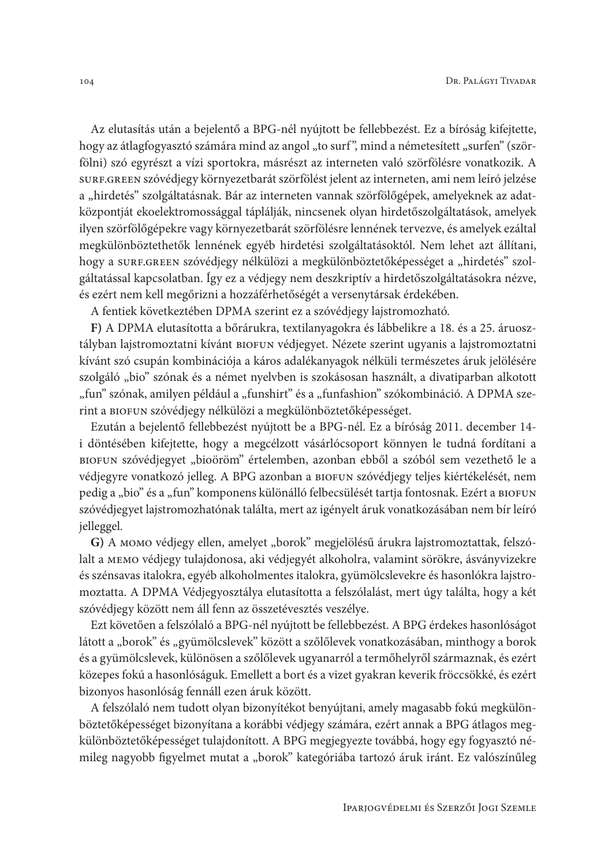Az elutasítás után a bejelentő a BPG-nél nyújtott be fellebbezést. Ez a bíróság kifejtette, hogy az átlagfogyasztó számára mind az angol "to surf", mind a németesített "surfen" (szörfölni) szó egyrészt a vízi sportokra, másrészt az interneten való szörfölésre vonatkozik. A SURF.GREEN SZÓVédjegy környezetbarát szörfölést jelent az interneten, ami nem leíró jelzése a "hirdetés" szolgáltatásnak. Bár az interneten vannak szörfölőgépek, amelyeknek az adatközpontját ekoelektromossággal táplálják, nincsenek olyan hirdetőszolgáltatások, amelyek ilyen szörfölőgépekre vagy környezetbarát szörfölésre lennének tervezve, és amelyek ezáltal megkülönböztethetők lennének egyéb hirdetési szolgáltatásoktól. Nem lehet azt állítani, hogy a surF.GREEN szóvédjegy nélkülözi a megkülönböztetőképességet a "hirdetés" szolgáltatással kapcsolatban. Így ez a védjegy nem deszkriptív a hirdetőszolgáltatásokra nézve, és ezért nem kell megőrizni a hozzáférhetőségét a versenytársak érdekében.

A fentiek következtében DPMA szerint ez a szóvédjegy lajstromozható.

F) A DPMA elutasította a bőrárukra, textilanyagokra és lábbelikre a 18. és a 25. áruosztályban lajstromoztatni kívánt BIOFUN védjegyet. Nézete szerint ugyanis a lajstromoztatni kívánt szó csupán kombinációja a káros adalékanyagok nélküli természetes áruk jelölésére szolgáló "bio" szónak és a német nyelvben is szokásosan használt, a divatiparban alkotott "fun" szónak, amilyen például a "funshirt" és a "funfashion" szókombináció. A DPMA szerint a BIOFUN szóvédjegy nélkülözi a megkülönböztetőképességet.

Ezután a bejelentő fellebbezést nyújtott be a BPG-nél. Ez a bíróság 2011. december 14i döntésében kifejtette, hogy a megcélzott vásárlócsoport könnyen le tudná fordítani a BIOFUN szóvédjegyet "bioöröm" értelemben, azonban ebből a szóból sem vezethető le a védjegyre vonatkozó jelleg. A BPG azonban a BIOFUN szóvédjegy teljes kiértékelését, nem pedig a "bio" és a "fun" komponens különálló felbecsülését tartja fontosnak. Ezért a BIOFUN szóvédjegyet lajstromozhatónak találta, mert az igényelt áruk vonatkozásában nem bír leíró jelleggel.

G) A MOMO védjegy ellen, amelyet "borok" megjelölésű árukra lajstromoztattak, felszólalt a MEMO védjegy tulajdonosa, aki védjegyét alkoholra, valamint sörökre, ásványvizekre és szénsavas italokra, egyéb alkoholmentes italokra, gyümölcslevekre és hasonlókra lajstromoztatta. A DPMA Védjegyosztálya elutasította a felszólalást, mert úgy találta, hogy a két szóvédjegy között nem áll fenn az összetévesztés veszélye.

Ezt követően a felszólaló a BPG-nél nyújtott be fellebbezést. A BPG érdekes hasonlóságot látott a "borok" és "gyümölcslevek" között a szőlőlevek vonatkozásában, minthogy a borok és a gyümölcslevek, különösen a szőlőlevek ugyanarról a termőhelyről származnak, és ezért közepes fokú a hasonlóságuk. Emellett a bort és a vizet gyakran keverik fröccsökké, és ezért bizonyos hasonlóság fennáll ezen áruk között.

A felszólaló nem tudott olyan bizonyítékot benyújtani, amely magasabb fokú megkülönböztetőképességet bizonyítana a korábbi védjegy számára, ezért annak a BPG átlagos megkülönböztetőképességet tulajdonított. A BPG megjegyezte továbbá, hogy egy fogyasztó némileg nagyobb figyelmet mutat a "borok" kategóriába tartozó áruk iránt. Ez valószínűleg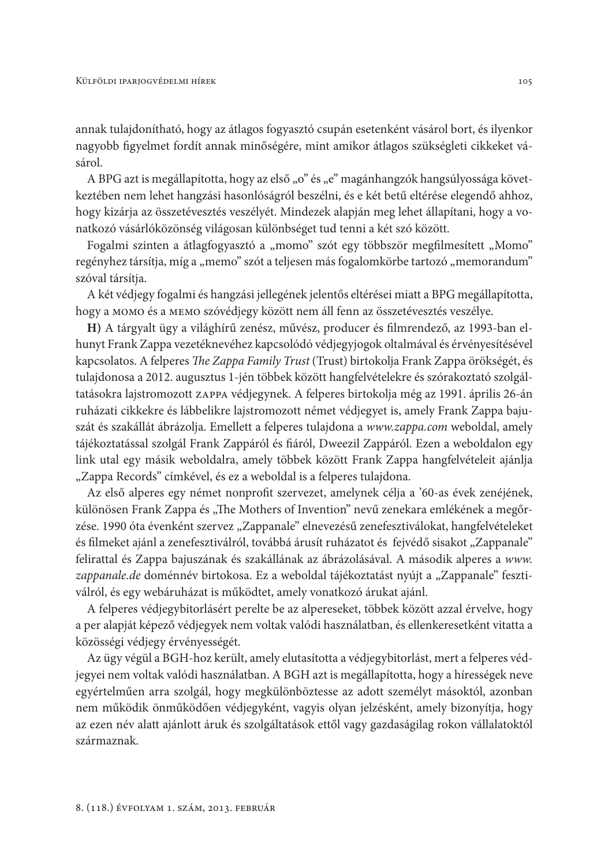annak tulajdonítható, hogy az átlagos fogyasztó csupán esetenként vásárol bort, és ilyenkor nagyobb figyelmet fordít annak minőségére, mint amikor átlagos szükségleti cikkeket vásárol.

A BPG azt is megállapította, hogy az első "o" és "e" magánhangzók hangsúlyossága következtében nem lehet hangzási hasonlóságról beszélni, és e két betű eltérése elegendő ahhoz, hogy kizárja az összetévesztés veszélyét. Mindezek alapján meg lehet állapítani, hogy a vonatkozó vásárlóközönség világosan különbséget tud tenni a két szó között.

Fogalmi szinten a átlagfogyasztó a "momo" szót egy többször megfilmesített "Momo" regényhez társítja, míg a "memo" szót a teljesen más fogalomkörbe tartozó "memorandum" szóval társítja.

A két védjegy fogalmi és hangzási jellegének jelentős eltérései miatt a BPG megállapította, hogy а момо és а мемо szóvédjegy között nem áll fenn az összetévesztés veszélye.

H) A tárgyalt ügy a világhírű zenész, művész, producer és filmrendező, az 1993-ban elhunyt Frank Zappa vezetéknevéhez kapcsolódó védjegyjogok oltalmával és érvényesítésével kapcsolatos. A felperes The Zappa Family Trust (Trust) birtokolja Frank Zappa örökségét, és tulajdonosa a 2012. augusztus 1-jén többek között hangfelvételekre és szórakoztató szolgáltatásokra lajstromozott zAPPA védjegynek. A felperes birtokolja még az 1991. április 26-án ruházati cikkekre és lábbelikre lajstromozott német védjegyet is, amely Frank Zappa bajuszát és szakállát ábrázolja. Emellett a felperes tulajdona a www.zappa.com weboldal, amely tájékoztatással szolgál Frank Zappáról és fiáról, Dweezil Zappáról. Ezen a weboldalon egy link utal egy másik weboldalra, amely többek között Frank Zappa hangfelvételeit ajánlja "Zappa Records" címkével, és ez a weboldal is a felperes tulajdona.

Az első alperes egy német nonprofit szervezet, amelynek célja a '60-as évek zenéjének, különösen Frank Zappa és "The Mothers of Invention" nevű zenekara emlékének a megőrzése. 1990 óta évenként szervez "Zappanale" elnevezésű zenefesztiválokat, hangfelvételeket és filmeket ajánl a zenefesztiválról, továbbá árusít ruházatot és fejvédő sisakot "Zappanale" felirattal és Zappa bajuszának és szakállának az ábrázolásával. A második alperes a www. zappanale. de doménnév birtokosa. Ez a weboldal tájékoztatást nyújt a "Zappanale" fesztiválról, és egy webáruházat is működtet, amely vonatkozó árukat ajánl.

A felperes védjegybitorlásért perelte be az alpereseket, többek között azzal érvelve, hogy a per alapját képező védjegyek nem voltak valódi használatban, és ellenkeresetként vitatta a közösségi védjegy érvényességét.

Az ügy végül a BGH-hoz került, amely elutasította a védjegybitorlást, mert a felperes védjegyei nem voltak valódi használatban. A BGH azt is megállapította, hogy a hírességek neve egyértelműen arra szolgál, hogy megkülönböztesse az adott személyt másoktól, azonban nem működik önműködően védjegyként, vagyis olyan jelzésként, amely bizonyítja, hogy az ezen név alatt ajánlott áruk és szolgáltatások ettől vagy gazdaságilag rokon vállalatoktól származnak.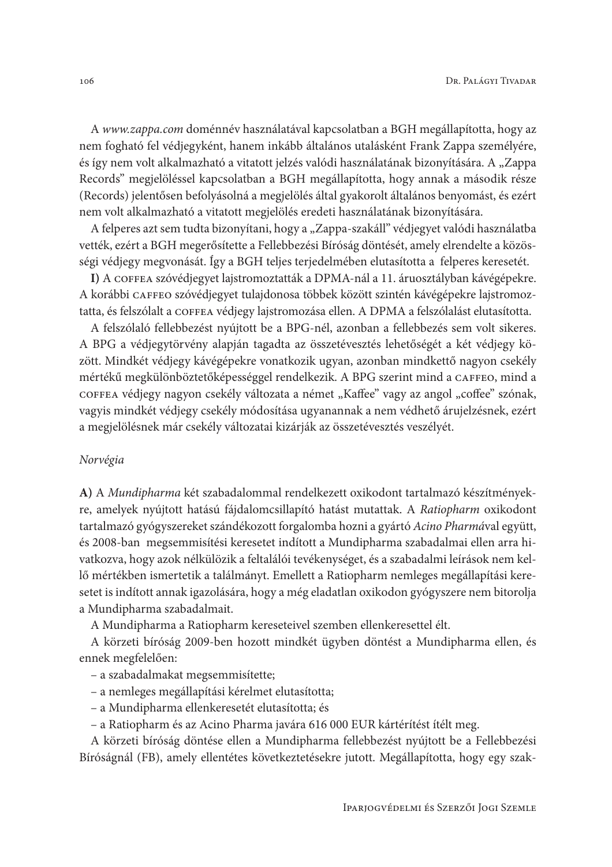A www.zappa.com doménnév használatával kapcsolatban a BGH megállapította, hogy az nem fogható fel védjegyként, hanem inkább általános utalásként Frank Zappa személyére, és így nem volt alkalmazható a vitatott jelzés valódi használatának bizonyítására. A "Zappa Records" megjelöléssel kapcsolatban a BGH megállapította, hogy annak a második része (Records) jelentősen befolyásolná a megjelölés által gyakorolt általános benyomást, és ezért nem volt alkalmazható a vitatott megjelölés eredeti használatának bizonyítására.

A felperes azt sem tudta bizonyítani, hogy a "Zappa-szakáll" védjegyet valódi használatba vették, ezért a BGH megerősítette a Fellebbezési Bíróság döntését, amely elrendelte a közösségi védjegy megvonását. Így a BGH teljes terjedelmében elutasította a felperes keresetét.

I) A COFFEA szóvédjegyet lajstromoztatták a DPMA-nál a 11. áruosztályban kávégépekre. A korábbi CAFFEO szóvédjegyet tulajdonosa többek között szintén kávégépekre lajstromoztatta, és felszólalt a COFFEA védjegy lajstromozása ellen. A DPMA a felszólalást elutasította.

A felszólaló fellebbezést nyújtott be a BPG-nél, azonban a fellebbezés sem volt sikeres. A BPG a védjegytörvény alapján tagadta az összetévesztés lehetőségét a két védjegy között. Mindkét védjegy kávégépekre vonatkozik ugyan, azonban mindkettő nagyon csekély mértékű megkülönböztetőképességgel rendelkezik. A BPG szerint mind a CAFFEO, mind a COFFEA védjegy nagyon csekély változata a német "Kaffee" vagy az angol "coffee" szónak, vagyis mindkét védjegy csekély módosítása ugyanannak a nem védhető árujelzésnek, ezért a megjelölésnek már csekély változatai kizárják az összetévesztés veszélyét.

#### Norvégia

A) A Mundipharma két szabadalommal rendelkezett oxikodont tartalmazó készítményekre, amelyek nyújtott hatású fájdalomcsillapító hatást mutattak. A Ratiopharm oxikodont tartalmazó gyógyszereket szándékozott forgalomba hozni a gyártó Acino Pharmával együtt, és 2008-ban megsemmisítési keresetet indított a Mundipharma szabadalmai ellen arra hivatkozva, hogy azok nélkülözik a feltalálói tevékenységet, és a szabadalmi leírások nem kellő mértékben ismertetik a találmányt. Emellett a Ratiopharm nemleges megállapítási keresetet is indított annak igazolására, hogy a még eladatlan oxikodon gyógyszere nem bitorolja a Mundipharma szabadalmait.

A Mundipharma a Ratiopharm kereseteivel szemben ellenkeresettel élt.

A körzeti bíróság 2009-ben hozott mindkét ügyben döntést a Mundipharma ellen, és ennek megfelelően:

- a szabadalmakat megsemmisítette;
- a nemleges megállapítási kérelmet elutasította;
- a Mundipharma ellenkeresetét elutasította; és
- a Ratiopharm és az Acino Pharma javára 616 000 EUR kártérítést ítélt meg.

A körzeti bíróság döntése ellen a Mundipharma fellebbezést nyújtott be a Fellebbezési Bíróságnál (FB), amely ellentétes következtetésekre jutott. Megállapította, hogy egy szak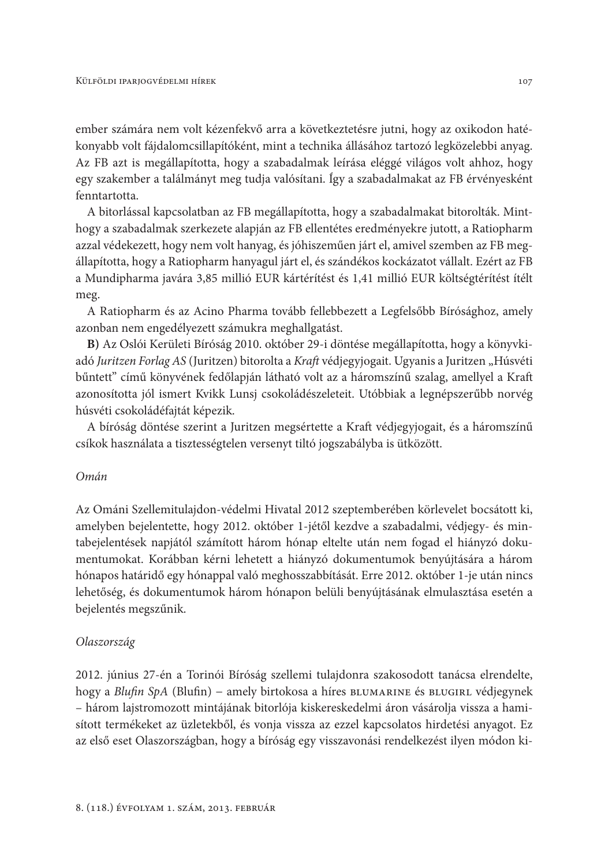ember számára nem volt kézenfekvő arra a következtetésre jutni, hogy az oxikodon hatékonyabb volt fájdalomcsillapítóként, mint a technika állásához tartozó legközelebbi anyag. Az FB azt is megállapította, hogy a szabadalmak leírása eléggé világos volt ahhoz, hogy egy szakember a találmányt meg tudja valósítani. Így a szabadalmakat az FB érvényesként fenntartotta.

A bitorlással kapcsolatban az FB megállapította, hogy a szabadalmakat bitorolták. Minthogy a szabadalmak szerkezete alapján az FB ellentétes eredményekre jutott, a Ratiopharm azzal védekezett, hogy nem volt hanyag, és jóhiszeműen járt el, amivel szemben az FB megállapította, hogy a Ratiopharm hanyagul járt el, és szándékos kockázatot vállalt. Ezért az FB a Mundipharma javára 3,85 millió EUR kártérítést és 1,41 millió EUR költségtérítést ítélt meg.

A Ratiopharm és az Acino Pharma tovább fellebbezett a Legfelsőbb Bírósághoz, amely azonban nem engedélyezett számukra meghallgatást.

B) Az Oslói Kerületi Bíróság 2010. október 29-i döntése megállapította, hogy a könyvkiadó Juritzen Forlag AS (Juritzen) bitorolta a Kraft védjegyjogait. Ugyanis a Juritzen "Húsvéti bűntett" című könyvének fedőlapján látható volt az a háromszínű szalag, amellyel a Kraft azonosította jól ismert Kvikk Lunsj csokoládészeleteit. Utóbbiak a legnépszerűbb norvég húsvéti csokoládéfajtát képezik.

A bíróság döntése szerint a Juritzen megsértette a Kraft védjegyjogait, és a háromszínű csíkok használata a tisztességtelen versenyt tiltó jogszabályba is ütközött.

### Omán

Az Ománi Szellemitulajdon-védelmi Hivatal 2012 szeptemberében körlevelet bocsátott ki, amelyben bejelentette, hogy 2012. október 1-jétől kezdve a szabadalmi, védjegy- és mintabejelentések napjától számított három hónap eltelte után nem fogad el hiányzó dokumentumokat. Korábban kérni lehetett a hiányzó dokumentumok benyújtására a három hónapos határidő egy hónappal való meghosszabbítását. Erre 2012. október 1-je után nincs lehetőség, és dokumentumok három hónapon belüli benyújtásának elmulasztása esetén a bejelentés megszűnik.

### Olaszország

2012. június 27-én a Torinói Bíróság szellemi tulajdonra szakosodott tanácsa elrendelte, hogy a Blufin SpA (Blufin) – amely birtokosa a híres BLUMARINE és BLUGIRL védjegynek - három lajstromozott mintájának bitorlója kiskereskedelmi áron vásárolja vissza a hamisított termékeket az üzletekből, és vonja vissza az ezzel kapcsolatos hirdetési anyagot. Ez az első eset Olaszországban, hogy a bíróság egy visszavonási rendelkezést ilyen módon ki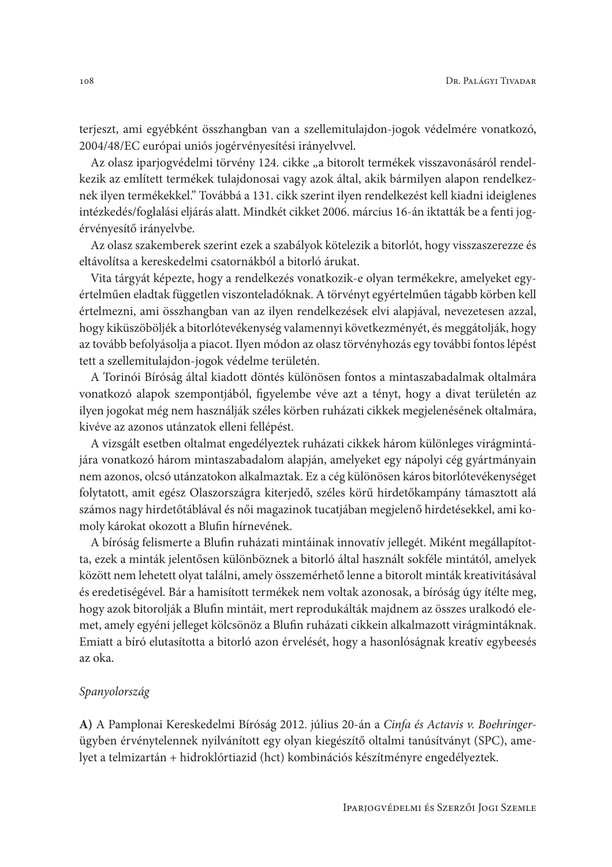terjeszt, ami egyébként összhangban van a szellemitulajdon-jogok védelmére vonatkozó, 2004/48/EC európai uniós jogérvényesítési irányelvvel.

Az olasz iparjogvédelmi törvény 124. cikke "a bitorolt termékek visszavonásáról rendelkezik az említett termékek tulajdonosai vagy azok által, akik bármilyen alapon rendelkeznek ilyen termékekkel." Továbbá a 131. cikk szerint ilyen rendelkezést kell kiadni ideiglenes intézkedés/foglalási eljárás alatt. Mindkét cikket 2006. március 16-án iktatták be a fenti jogérvényesítő irányelvbe.

Az olasz szakemberek szerint ezek a szabályok kötelezik a bitorlót, hogy visszaszerezze és eltávolítsa a kereskedelmi csatornákból a bitorló árukat.

Vita tárgyát képezte, hogy a rendelkezés vonatkozik-e olyan termékekre, amelyeket egyértelműen eladtak független viszonteladóknak. A törvényt egyértelműen tágabb körben kell értelmezni, ami összhangban van az ilyen rendelkezések elvi alapjával, nevezetesen azzal, hogy kiküszöböljék a bitorlótevékenység valamennyi következményét, és meggátolják, hogy az tovább befolyásolja a piacot. Ilyen módon az olasz törvényhozás egy további fontos lépést tett a szellemitulajdon-jogok védelme területén.

A Torinói Bíróság által kiadott döntés különösen fontos a mintaszabadalmak oltalmára vonatkozó alapok szempontjából, figyelembe véve azt a tényt, hogy a divat területén az ilyen jogokat még nem használják széles körben ruházati cikkek megjelenésének oltalmára, kivéve az azonos utánzatok elleni fellépést.

A vizsgált esetben oltalmat engedélyeztek ruházati cikkek három különleges virágmintájára vonatkozó három mintaszabadalom alapján, amelyeket egy nápolyi cég gyártmányain nem azonos, olcsó utánzatokon alkalmaztak. Ez a cég különösen káros bitorlótevékenységet folytatott, amit egész Olaszországra kiterjedő, széles körű hirdetőkampány támasztott alá számos nagy hirdetőtáblával és női magazinok tucatjában megjelenő hirdetésekkel, ami komoly károkat okozott a Blufin hírnevének.

A bíróság felismerte a Blufin ruházati mintáinak innovatív jellegét. Miként megállapította, ezek a minták jelentősen különböznek a bitorló által használt sokféle mintától, amelyek között nem lehetett olyat találni, amely összemérhető lenne a bitorolt minták kreativitásával és eredetiségével. Bár a hamisított termékek nem voltak azonosak, a bíróság úgy ítélte meg, hogy azok bitorolják a Blufin mintáit, mert reprodukálták majdnem az összes uralkodó elemet, amely egyéni jelleget kölcsönöz a Blufin ruházati cikkein alkalmazott virágmintáknak. Emiatt a bíró elutasította a bitorló azon érvelését, hogy a hasonlóságnak kreatív egybeesés az oka.

## Spanyolország

A) A Pamplonai Kereskedelmi Bíróság 2012. július 20-án a Cinfa és Actavis v. Boehringerügyben érvénytelennek nyilvánított egy olyan kiegészítő oltalmi tanúsítványt (SPC), amelyet a telmizartán + hidroklórtiazid (hct) kombinációs készítményre engedélyeztek.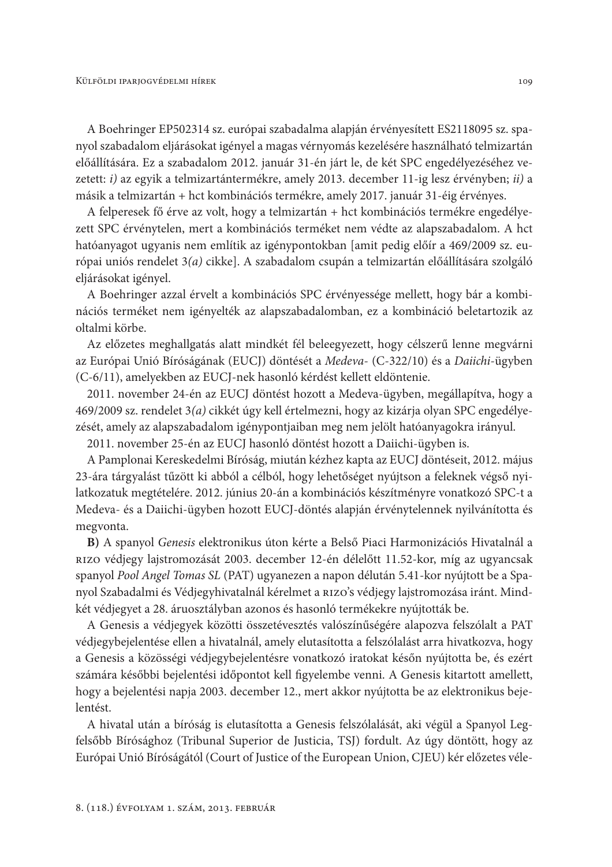A Boehringer EP502314 sz. európai szabadalma alapján érvényesített ES2118095 sz. spanyol szabadalom eljárásokat igényel a magas vérnyomás kezelésére használható telmizartán előállítására. Ez a szabadalom 2012. január 31-én járt le, de két SPC engedélyezéséhez vezetett: i) az egyik a telmizartántermékre, amely 2013. december 11-ig lesz érvényben; ii) a másik a telmizartán + hct kombinációs termékre, amely 2017. január 31-éig érvényes.

A felperesek fő érve az volt, hogy a telmizartán + hct kombinációs termékre engedélyezett SPC érvénytelen, mert a kombinációs terméket nem védte az alapszabadalom. A hct hatóanyagot ugyanis nem említik az igénypontokban [amit pedig előír a 469/2009 sz. európai uniós rendelet 3(a) cikke]. A szabadalom csupán a telmizartán előállítására szolgáló eljárásokat igényel.

A Boehringer azzal érvelt a kombinációs SPC érvényessége mellett, hogy bár a kombinációs terméket nem igényelték az alapszabadalomban, ez a kombináció beletartozik az oltalmi körbe.

Az előzetes meghallgatás alatt mindkét fél beleegyezett, hogy célszerű lenne megvárni az Európai Unió Bíróságának (EUCJ) döntését a Medeva- (C-322/10) és a Daiichi-ügyben (C-6/11), amelyekben az EUCJ-nek hasonló kérdést kellett eldöntenie.

2011. november 24-én az EUCJ döntést hozott a Medeva-ügyben, megállapítva, hogy a 469/2009 sz. rendelet 3(a) cikkét úgy kell értelmezni, hogy az kizárja olyan SPC engedélyezését, amely az alapszabadalom igénypontjaiban meg nem jelölt hatóanyagokra irányul.

2011. november 25-én az EUCJ hasonló döntést hozott a Daiichi-ügyben is.

A Pamplonai Kereskedelmi Bíróság, miután kézhez kapta az EUCJ döntéseit, 2012. május 23-ára tárgyalást tűzött ki abból a célból, hogy lehetőséget nyújtson a feleknek végső nyilatkozatuk megtételére. 2012. június 20-án a kombinációs készítményre vonatkozó SPC-t a Medeva- és a Daiichi-ügyben hozott EUCJ-döntés alapján érvénytelennek nyilvánította és megvonta.

B) A spanyol Genesis elektronikus úton kérte a Belső Piaci Harmonizációs Hivatalnál a RIZO védjegy lajstromozását 2003. december 12-én délelőtt 11.52-kor, míg az ugyancsak spanyol Pool Angel Tomas SL (PAT) ugyanezen a napon délután 5.41-kor nyújtott be a Spanyol Szabadalmi és Védjegyhivatalnál kérelmet a RIZO's védjegy lajstromozása iránt. Mindkét védjegyet a 28. áruosztályban azonos és hasonló termékekre nyújtották be.

A Genesis a védjegyek közötti összetévesztés valószínűségére alapozva felszólalt a PAT védjegybejelentése ellen a hivatalnál, amely elutasította a felszólalást arra hivatkozva, hogy a Genesis a közösségi védjegybejelentésre vonatkozó iratokat későn nyújtotta be, és ezért számára későbbi bejelentési időpontot kell figyelembe venni. A Genesis kitartott amellett, hogy a bejelentési napja 2003. december 12., mert akkor nyújtotta be az elektronikus bejelentést.

A hivatal után a bíróság is elutasította a Genesis felszólalását, aki végül a Spanyol Legfelsőbb Bírósághoz (Tribunal Superior de Justicia, TSJ) fordult. Az úgy döntött, hogy az Európai Unió Bíróságától (Court of Justice of the European Union, CJEU) kér előzetes véle-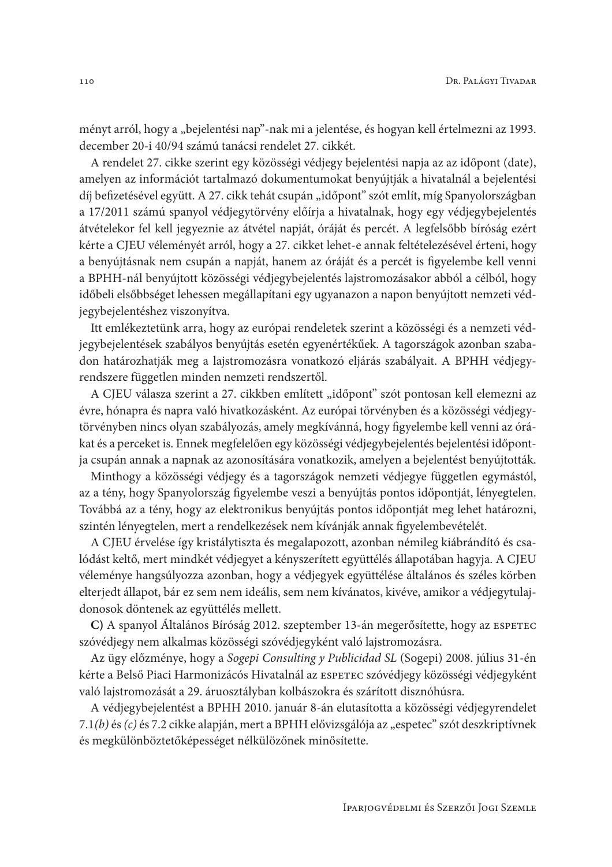ményt arról, hogy a "bejelentési nap"-nak mi a jelentése, és hogyan kell értelmezni az 1993. december 20-i 40/94 számú tanácsi rendelet 27. cikkét.

A rendelet 27. cikke szerint egy közösségi védjegy bejelentési napja az az időpont (date), amelyen az információt tartalmazó dokumentumokat benyújtják a hivatalnál a bejelentési díj befizetésével együtt. A 27. cikk tehát csupán "időpont" szót említ, míg Spanyolországban a 17/2011 számú spanyol védjegytörvény előírja a hivatalnak, hogy egy védjegybejelentés átvételekor fel kell jegyeznie az átvétel napját, óráját és percét. A legfelsőbb bíróság ezért kérte a CJEU véleményét arról, hogy a 27. cikket lehet-e annak feltételezésével érteni, hogy a benyújtásnak nem csupán a napját, hanem az óráját és a percét is figyelembe kell venni a BPHH-nál benyújtott közösségi védjegybejelentés lajstromozásakor abból a célból, hogy időbeli elsőbbséget lehessen megállapítani egy ugyanazon a napon benyújtott nemzeti védjegybejelentéshez viszonyítva.

Itt emlékeztetünk arra, hogy az európai rendeletek szerint a közösségi és a nemzeti védjegybejelentések szabályos benyújtás esetén egyenértékűek. A tagországok azonban szabadon határozhatják meg a lajstromozásra vonatkozó eljárás szabályait. A BPHH védjegyrendszere független minden nemzeti rendszertől.

A CJEU válasza szerint a 27. cikkben említett "időpont" szót pontosan kell elemezni az évre, hónapra és napra való hivatkozásként. Az európai törvényben és a közösségi védjegytörvényben nincs olyan szabályozás, amely megkívánná, hogy figyelembe kell venni az órákat és a perceket is. Ennek megfelelően egy közösségi védjegybejelentés bejelentési időpontja csupán annak a napnak az azonosítására vonatkozik, amelyen a bejelentést benyújtották.

Minthogy a közösségi védjegy és a tagországok nemzeti védjegye független egymástól, az a tény, hogy Spanyolország figyelembe veszi a benyújtás pontos időpontját, lényegtelen. Továbbá az a tény, hogy az elektronikus benyújtás pontos időpontját meg lehet határozni, szintén lényegtelen, mert a rendelkezések nem kívánják annak figyelembevételét.

A CJEU érvelése így kristálytiszta és megalapozott, azonban némileg kiábrándító és csalódást keltő, mert mindkét védjegyet a kényszerített együttélés állapotában hagyja. A CJEU véleménye hangsúlyozza azonban, hogy a védjegyek együttélése általános és széles körben elterjedt állapot, bár ez sem nem ideális, sem nem kívánatos, kivéve, amikor a védjegytulajdonosok döntenek az együttélés mellett.

C) A spanyol Általános Bíróság 2012. szeptember 13-án megerősítette, hogy az ESPETEC szóvédjegy nem alkalmas közösségi szóvédjegyként való lajstromozásra.

Az ügy előzménye, hogy a Sogepi Consulting y Publicidad SL (Sogepi) 2008. július 31-én kérte a Belső Piaci Harmonizácós Hivatalnál az ESPETEC szóvédjegy közösségi védjegyként való lajstromozását a 29. áruosztályban kolbászokra és szárított disznóhúsra.

A védjegybejelentést a BPHH 2010. január 8-án elutasította a közösségi védjegyrendelet 7.1(b) és (c) és 7.2 cikke alapján, mert a BPHH elővizsgálója az "espetec" szót deszkriptívnek és megkülönböztetőképességet nélkülözőnek minősítette.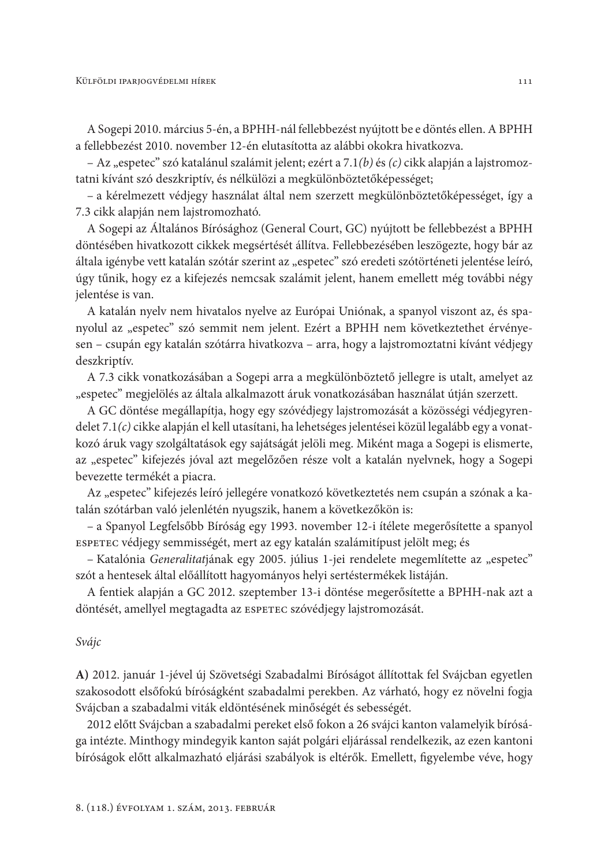A Sogepi 2010. március 5-én, a BPHH-nál fellebbezést nyújtott be e döntés ellen. A BPHH a fellebbezést 2010. november 12-én elutasította az alábbi okokra hivatkozva.

– Az "espetec" szó katalánul szalámit jelent; ezért a 7.1(b) és (c) cikk alapján a lajstromoztatni kívánt szó deszkriptív, és nélkülözi a megkülönböztetőképességet;

- a kérelmezett védjegy használat által nem szerzett megkülönböztetőképességet, így a 7.3 cikk alapján nem lajstromozható.

A Sogepi az Általános Bírósághoz (General Court, GC) nyújtott be fellebbezést a BPHH döntésében hivatkozott cikkek megsértését állítva. Fellebbezésében leszögezte, hogy bár az általa igénybe vett katalán szótár szerint az "espetec" szó eredeti szótörténeti jelentése leíró, úgy tűnik, hogy ez a kifejezés nemcsak szalámit jelent, hanem emellett még további négy jelentése is van.

A katalán nyelv nem hivatalos nyelve az Európai Uniónak, a spanyol viszont az, és spanyolul az "espetec" szó semmit nem jelent. Ezért a BPHH nem következtethet érvényesen - csupán egy katalán szótárra hivatkozva - arra, hogy a lajstromoztatni kívánt védjegy deszkriptív.

A 7.3 cikk vonatkozásában a Sogepi arra a megkülönböztető jellegre is utalt, amelyet az "espetec" megjelölés az általa alkalmazott áruk vonatkozásában használat útján szerzett.

A GC döntése megállapítja, hogy egy szóvédjegy lajstromozását a közösségi védjegyrendelet 7.1(c) cikke alapján el kell utasítani, ha lehetséges jelentései közül legalább egy a vonatkozó áruk vagy szolgáltatások egy sajátságát jelöli meg. Miként maga a Sogepi is elismerte, az "espetec" kifejezés jóval azt megelőzően része volt a katalán nyelvnek, hogy a Sogepi bevezette termékét a piacra.

Az "espetec" kifejezés leíró jellegére vonatkozó következtetés nem csupán a szónak a katalán szótárban való jelenlétén nyugszik, hanem a következőkön is:

- a Spanyol Legfelsőbb Bíróság egy 1993. november 12-i ítélete megerősítette a spanyol ESPETEC védjegy semmisségét, mert az egy katalán szalámitípust jelölt meg; és

- Katalónia Generalitatjának egy 2005. július 1-jei rendelete megemlítette az "espetec" szót a hentesek által előállított hagyományos helyi sertéstermékek listáján.

A fentiek alapján a GC 2012. szeptember 13-i döntése megerősítette a BPHH-nak azt a döntését, amellyel megtagadta az ESPETEC szóvédjegy lajstromozását.

#### Svájc

A) 2012. január 1-jével új Szövetségi Szabadalmi Bíróságot állítottak fel Svájcban egyetlen szakosodott elsőfokú bíróságként szabadalmi perekben. Az várható, hogy ez növelni fogja Svájcban a szabadalmi viták eldöntésének minőségét és sebességét.

2012 előtt Svájcban a szabadalmi pereket első fokon a 26 svájci kanton valamelyik bírósága intézte. Minthogy mindegyik kanton saját polgári eljárással rendelkezik, az ezen kantoni bíróságok előtt alkalmazható eljárási szabályok is eltérők. Emellett, figyelembe véve, hogy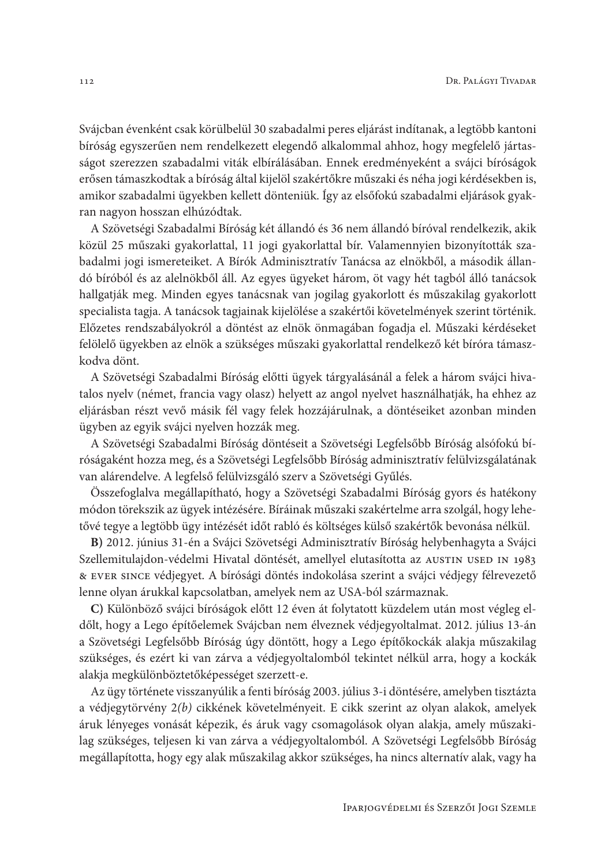Svájcban évenként csak körülbelül 30 szabadalmi peres eljárást indítanak, a legtöbb kantoni bíróság egyszerűen nem rendelkezett elegendő alkalommal ahhoz, hogy megfelelő jártasságot szerezzen szabadalmi viták elbírálásában. Ennek eredményeként a svájci bíróságok erősen támaszkodtak a bíróság által kijelöl szakértőkre műszaki és néha jogi kérdésekben is, amikor szabadalmi ügyekben kellett dönteniük. Így az elsőfokú szabadalmi eljárások gyakran nagyon hosszan elhúzódtak.

A Szövetségi Szabadalmi Bíróság két állandó és 36 nem állandó bíróval rendelkezik, akik közül 25 műszaki gyakorlattal, 11 jogi gyakorlattal bír. Valamennyien bizonyították szabadalmi jogi ismereteiket. A Bírók Adminisztratív Tanácsa az elnökből, a második állandó bíróból és az alelnökből áll. Az egyes ügyeket három, öt vagy hét tagból álló tanácsok hallgatják meg. Minden egyes tanácsnak van jogilag gyakorlott és műszakilag gyakorlott specialista tagja. A tanácsok tagjainak kijelölése a szakértői követelmények szerint történik. Előzetes rendszabályokról a döntést az elnök önmagában fogadja el. Műszaki kérdéseket felölelő ügyekben az elnök a szükséges műszaki gyakorlattal rendelkező két bíróra támaszkodva dönt.

A Szövetségi Szabadalmi Bíróság előtti ügyek tárgyalásánál a felek a három svájci hivatalos nyelv (német, francia vagy olasz) helyett az angol nyelvet használhatják, ha ehhez az eljárásban részt vevő másik fél vagy felek hozzájárulnak, a döntéseiket azonban minden ügyben az egyik svájci nyelven hozzák meg.

A Szövetségi Szabadalmi Bíróság döntéseit a Szövetségi Legfelsőbb Bíróság alsófokú bíróságaként hozza meg, és a Szövetségi Legfelsőbb Bíróság adminisztratív felülvizsgálatának van alárendelve. A legfelső felülvizsgáló szerv a Szövetségi Gyűlés.

Összefoglalva megállapítható, hogy a Szövetségi Szabadalmi Bíróság gyors és hatékony módon törekszik az ügyek intézésére. Bíráinak műszaki szakértelme arra szolgál, hogy lehetővé tegye a legtöbb ügy intézését időt rabló és költséges külső szakértők bevonása nélkül.

B) 2012. június 31-én a Svájci Szövetségi Adminisztratív Bíróság helybenhagyta a Svájci Szellemitulajdon-védelmi Hivatal döntését, amellyel elutasította az AUSTIN USED IN 1983 & EVER SINCE védjegyet. A bírósági döntés indokolása szerint a svájci védjegy félrevezető lenne olyan árukkal kapcsolatban, amelyek nem az USA-ból származnak.

C) Különböző svájci bíróságok előtt 12 éven át folytatott küzdelem után most végleg eldőlt, hogy a Lego építőelemek Svájcban nem élveznek védjegyoltalmat. 2012. július 13-án a Szövetségi Legfelsőbb Bíróság úgy döntött, hogy a Lego építőkockák alakja műszakilag szükséges, és ezért ki van zárva a védjegyoltalomból tekintet nélkül arra, hogy a kockák alakja megkülönböztetőképességet szerzett-e.

Az ügy története visszanyúlik a fenti bíróság 2003. július 3-i döntésére, amelyben tisztázta a védjegytörvény 2(b) cikkének követelményeit. E cikk szerint az olyan alakok, amelyek áruk lényeges vonását képezik, és áruk vagy csomagolások olyan alakja, amely műszakilag szükséges, teljesen ki van zárva a védjegyoltalomból. A Szövetségi Legfelsőbb Bíróság megállapította, hogy egy alak műszakilag akkor szükséges, ha nincs alternatív alak, vagy ha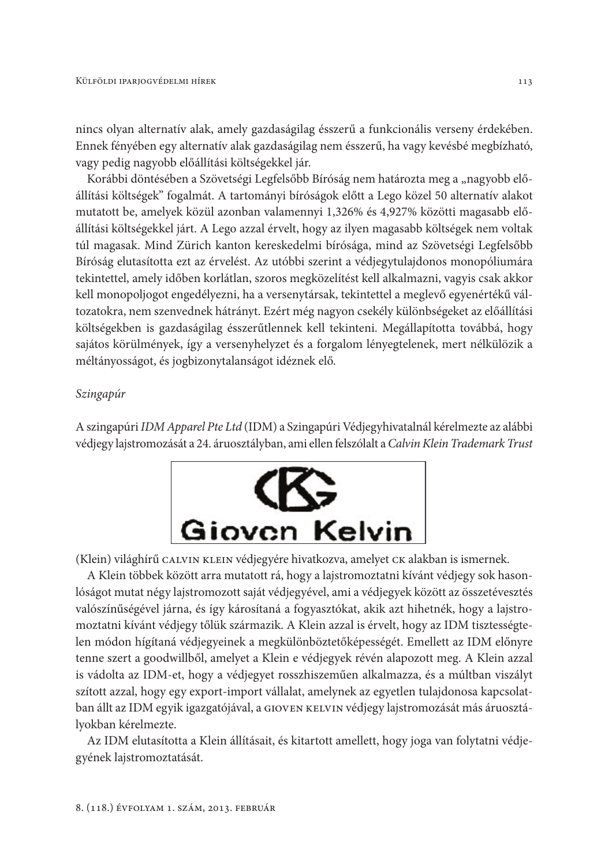nincs olyan alternatív alak, amely gazdaságilag ésszerű a funkcionális verseny érdekében. Ennek fényében egy alternatív alak gazdaságilag nem ésszerű, ha vagy kevésbé megbízható, vagy pedig nagyobb előállítási költségekkel jár.

Korábbi döntésében a Szövetségi Legfelsőbb Bíróság nem határozta meg a "nagyobb előállítási költségek" fogalmát. A tartományi bíróságok előtt a Lego közel 50 alternatív alakot mutatott be, amelyek közül azonban valamennyi 1,326% és 4,927% közötti magasabb előállítási költségekkel járt. A Lego azzal érvelt, hogy az ilyen magasabb költségek nem voltak túl magasak. Mind Zürich kanton kereskedelmi bírósága, mind az Szövetségi Legfelsőbb Bíróság elutasította ezt az érvelést. Az utóbbi szerint a védjegytulajdonos monopóliumára tekintettel, amely időben korlátlan, szoros megközelítést kell alkalmazni, vagyis csak akkor kell monopoljogot engedélyezni, ha a versenytársak, tekintettel a meglevő egyenértékű változatokra, nem szenvednek hátrányt. Ezért még nagyon csekély különbségeket az előállítási költségekben is gazdaságilag ésszerűtlennek kell tekinteni. Megállapította továbbá, hogy sajátos körülmények, így a versenyhelyzet és a forgalom lényegtelenek, mert nélkülözik a méltányosságot, és jogbizonytalanságot idéznek elő.

### Szingapúr

A szingapúri IDM Apparel Pte Ltd (IDM) a Szingapúri Védjegyhivatalnál kérelmezte az alábbi védjegy lajstromozását a 24. áruosztályban, ami ellen felszólalt a Calvin Klein Trademark Trust



(Klein) világhírű CALVIN KLEIN védjegyére hivatkozva, amelyet CK alakban is ismernek.

A Klein többek között arra mutatott rá, hogy a lajstromoztatni kívánt védjegy sok hasonlóságot mutat négy lajstromozott saját védjegyével, ami a védjegyek között az összetévesztés valószínűségével járna, és így károsítaná a fogyasztókat, akik azt hihetnék, hogy a lajstromoztatni kívánt védjegy tőlük származik. A Klein azzal is érvelt, hogy az IDM tisztességtelen módon hígítaná védjegyeinek a megkülönböztetőképességét. Emellett az IDM előnyre tenne szert a goodwillből, amelyet a Klein e védjegyek révén alapozott meg. A Klein azzal is vádolta az IDM-et, hogy a védjegyet rosszhiszeműen alkalmazza, és a múltban viszályt szított azzal, hogy egy export-import vállalat, amelynek az egyetlen tulajdonosa kapcsolatban állt az IDM egyik igazgatójával, a GIOVEN KELVIN védjegy lajstromozását más áruosztályokban kérelmezte.

Az IDM elutasította a Klein állításait, és kitartott amellett, hogy joga van folytatni védjegyének lajstromoztatását.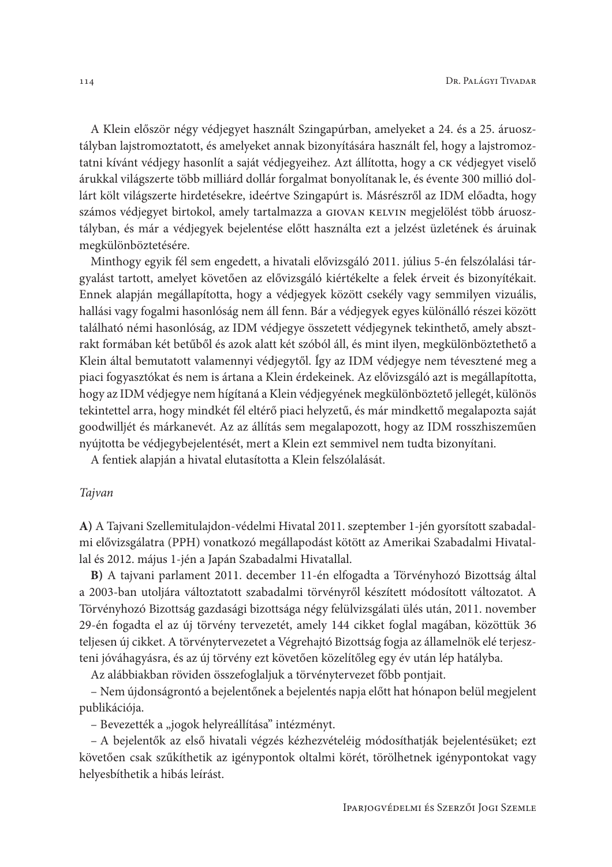A Klein először négy védjegyet használt Szingapúrban, amelyeket a 24. és a 25. áruosztályban lajstromoztatott, és amelyeket annak bizonyítására használt fel, hogy a lajstromoztatni kívánt védjegy hasonlít a saját védjegyeihez. Azt állította, hogy a CK védjegyet viselő árukkal világszerte több milliárd dollár forgalmat bonyolítanak le, és évente 300 millió dollárt költ világszerte hirdetésekre, ideértve Szingapúrt is. Másrészről az IDM előadta, hogy számos védjegyet birtokol, amely tartalmazza a GIOVAN KELVIN megjelölést több áruosztályban, és már a védjegyek bejelentése előtt használta ezt a jelzést üzletének és áruinak megkülönböztetésére.

Minthogy egyik fél sem engedett, a hivatali elővizsgáló 2011. július 5-én felszólalási tárgyalást tartott, amelyet követően az elővizsgáló kiértékelte a felek érveit és bizonyítékait. Ennek alapján megállapította, hogy a védjegyek között csekély vagy semmilyen vizuális, hallási vagy fogalmi hasonlóság nem áll fenn. Bár a védjegyek egyes különálló részei között található némi hasonlóság, az IDM védjegye összetett védjegynek tekinthető, amely absztrakt formában két betűből és azok alatt két szóból áll, és mint ilyen, megkülönböztethető a Klein által bemutatott valamennyi védjegytől. Így az IDM védjegye nem tévesztené meg a piaci fogyasztókat és nem is ártana a Klein érdekeinek. Az elővizsgáló azt is megállapította, hogy az IDM védjegye nem hígítaná a Klein védjegyének megkülönböztető jellegét, különös tekintettel arra, hogy mindkét fél eltérő piaci helyzetű, és már mindkettő megalapozta saját goodwilljét és márkanevét. Az az állítás sem megalapozott, hogy az IDM rosszhiszeműen nyújtotta be védjegybejelentését, mert a Klein ezt semmivel nem tudta bizonyítani.

A fentiek alapján a hivatal elutasította a Klein felszólalását.

#### Tajvan

A) A Tajvani Szellemitulajdon-védelmi Hivatal 2011. szeptember 1-jén gyorsított szabadalmi elővizsgálatra (PPH) vonatkozó megállapodást kötött az Amerikai Szabadalmi Hivatallal és 2012. május 1-jén a Japán Szabadalmi Hivatallal.

B) A tajvani parlament 2011. december 11-én elfogadta a Törvényhozó Bizottság által a 2003-ban utoljára változtatott szabadalmi törvényről készített módosított változatot. A Törvényhozó Bizottság gazdasági bizottsága négy felülvizsgálati ülés után, 2011. november 29-én fogadta el az új törvény tervezetét, amely 144 cikket foglal magában, közöttük 36 teljesen új cikket. A törvénytervezetet a Végrehajtó Bizottság fogja az államelnök elé terjeszteni jóváhagyásra, és az új törvény ezt követően közelítőleg egy év után lép hatályba.

Az alábbiakban röviden összefoglaljuk a törvénytervezet főbb pontjait.

- Nem újdonságrontó a bejelentőnek a bejelentés napja előtt hat hónapon belül megjelent publikációja.

– Bevezették a "jogok helyreállítása" intézményt.

- A bejelentők az első hivatali végzés kézhezvételéig módosíthatják bejelentésüket; ezt követően csak szűkíthetik az igénypontok oltalmi körét, törölhetnek igénypontokat vagy helyesbíthetik a hibás leírást.